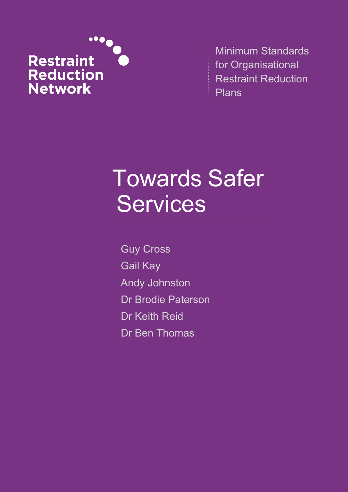

Minimum Standards for Organisational Restraint Reduction Plans

# Towards Safer Services

Guy Cross Gail Kay Andy Johnston Dr Brodie Paterson Dr Keith Reid Dr Ben Thomas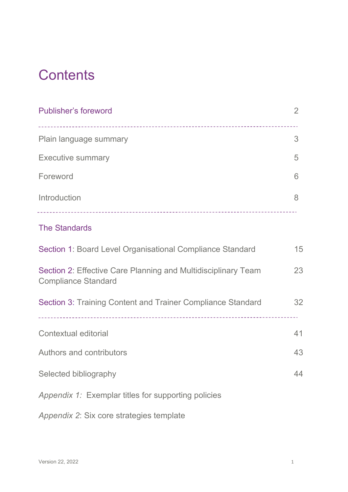## **Contents**

| <b>Publisher's foreword</b>                                                                 | $\overline{2}$ |
|---------------------------------------------------------------------------------------------|----------------|
| Plain language summary                                                                      | 3              |
| <b>Executive summary</b>                                                                    | 5              |
| Foreword                                                                                    | 6              |
| Introduction                                                                                | 8              |
| <b>The Standards</b>                                                                        |                |
| Section 1: Board Level Organisational Compliance Standard                                   | 15             |
| Section 2: Effective Care Planning and Multidisciplinary Team<br><b>Compliance Standard</b> | 23             |
| Section 3: Training Content and Trainer Compliance Standard                                 | 32             |
| <b>Contextual editorial</b>                                                                 | 41             |
| <b>Authors and contributors</b>                                                             | 43             |
| Selected bibliography                                                                       | 44             |
| Appendix 1: Exemplar titles for supporting policies                                         |                |

*Appendix 2*: Six core strategies template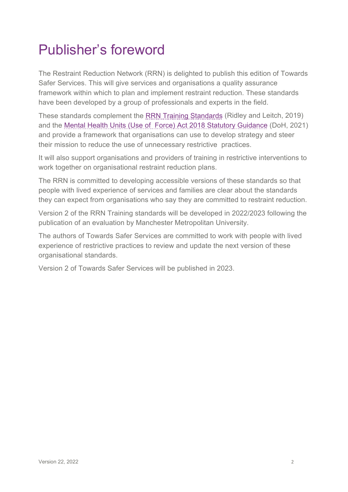## Publisher's foreword

The Restraint Reduction Network (RRN) is delighted to publish this edition of Towards Safer Services. This will give services and organisations a quality assurance framework within which to plan and implement restraint reduction. These standards have been developed by a group of professionals and experts in the field.

These standards complement the [RRN Training Standards](https://restraintreductionnetwork.org/wp-content/uploads/2021/08/RRN_standards_phase_8_accessible.pdf) (Ridley and Leitch, 2019) and the Mental Health Units (Use [of Force\) Act 2018 Statutory Guidance](https://www.gov.uk/government/publications/mental-health-units-use-of-force-act-2018/mental-health-units-use-of-force-act-2018-statutory-guidance-for-nhs-organisations-in-england-and-police-forces-in-england-and-wales) (DoH, 2021) and provide a framework that organisations can use to develop strategy and steer their mission to reduce the use of unnecessary restrictive practices.

It will also support organisations and providers of training in restrictive interventions to work together on organisational restraint reduction plans.

The RRN is committed to developing accessible versions of these standards so that people with lived experience of services and families are clear about the standards they can expect from organisations who say they are committed to restraint reduction.

Version 2 of the RRN Training standards will be developed in 2022/2023 following the publication of an evaluation by Manchester Metropolitan University.

The authors of Towards Safer Services are committed to work with people with lived experience of restrictive practices to review and update the next version of these organisational standards.

Version 2 of Towards Safer Services will be published in 2023.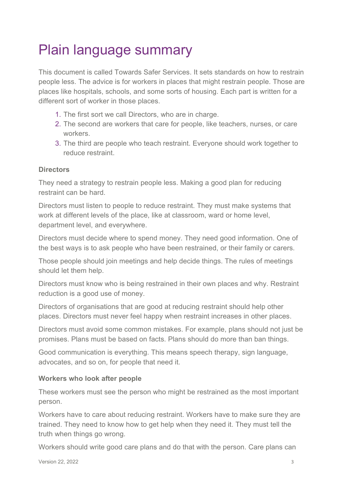## Plain language summary

This document is called Towards Safer Services. It sets standards on how to restrain people less. The advice is for workers in places that might restrain people. Those are places like hospitals, schools, and some sorts of housing. Each part is written for a different sort of worker in those places.

- 1. The first sort we call Directors, who are in charge.
- 2. The second are workers that care for people, like teachers, nurses, or care workers.
- 3. The third are people who teach restraint. Everyone should work together to reduce restraint.

#### **Directors**

They need a strategy to restrain people less. Making a good plan for reducing restraint can be hard.

Directors must listen to people to reduce restraint. They must make systems that work at different levels of the place, like at classroom, ward or home level, department level, and everywhere.

Directors must decide where to spend money. They need good information. One of the best ways is to ask people who have been restrained, or their family or carers.

Those people should join meetings and help decide things. The rules of meetings should let them help.

Directors must know who is being restrained in their own places and why. Restraint reduction is a good use of money.

Directors of organisations that are good at reducing restraint should help other places. Directors must never feel happy when restraint increases in other places.

Directors must avoid some common mistakes. For example, plans should not just be promises. Plans must be based on facts. Plans should do more than ban things.

Good communication is everything. This means speech therapy, sign language, advocates, and so on, for people that need it.

#### **Workers who look after people**

These workers must see the person who might be restrained as the most important person.

Workers have to care about reducing restraint. Workers have to make sure they are trained. They need to know how to get help when they need it. They must tell the truth when things go wrong.

Workers should write good care plans and do that with the person. Care plans can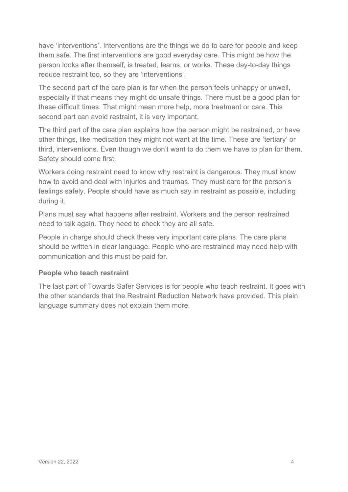have 'interventions'. Interventions are the things we do to care for people and keep them safe. The first interventions are good everyday care. This might be how the person looks after themself, is treated, learns, or works. These day-to-day things reduce restraint too, so they are 'interventions'.

The second part of the care plan is for when the person feels unhappy or unwell, especially if that means they might do unsafe things. There must be a good plan for these difficult times. That might mean more help, more treatment or care. This second part can avoid restraint, it is very important.

The third part of the care plan explains how the person might be restrained, or have other things, like medication they might not want at the time. These are 'tertiary' or third, interventions. Even though we don't want to do them we have to plan for them. Safety should come first.

Workers doing restraint need to know why restraint is dangerous. They must know how to avoid and deal with injuries and traumas. They must care for the person's feelings safely. People should have as much say in restraint as possible, including during it.

Plans must say what happens after restraint. Workers and the person restrained need to talk again. They need to check they are all safe.

People in charge should check these very important care plans. The care plans should be written in clear language. People who are restrained may need help with communication and this must be paid for.

#### **People who teach restraint**

The last part of Towards Safer Services is for people who teach restraint. It goes with the other standards that the Restraint Reduction Network have provided. This plain language summary does not explain them more.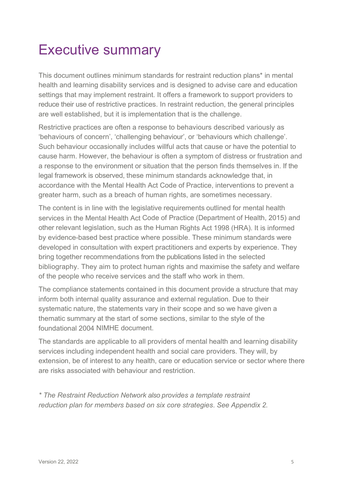## Executive summary

This document outlines minimum standards for restraint reduction plans\* in mental health and learning disability services and is designed to advise care and education settings that may implement restraint. It offers a framework to support providers to reduce their use of restrictive practices. In restraint reduction, the general principles are well established, but it is implementation that is the challenge.

Restrictive practices are often a response to behaviours described variously as 'behaviours of concern', 'challenging behaviour', or 'behaviours which challenge'. Such behaviour occasionally includes willful acts that cause or have the potential to cause harm. However, the behaviour is often a symptom of distress or frustration and a response to the environment or situation that the person finds themselves in. If the legal framework is observed, these minimum standards acknowledge that, in accordance with the Mental Health Act Code of Practice, interventions to prevent a greater harm, such as a breach of human rights, are sometimes necessary.

The content is in line with the legislative requirements outlined for mental health services in the Mental Health Act Code of Practice (Department of Health, 2015) and other relevant legislation, such as the Human Rights Act 1998 (HRA). It is informed by evidence-based best practice where possible. These minimum standards were developed in consultation with expert practitioners and experts by experience. They bring together recommendations from the publications listed in the selected bibliography. They aim to protect human rights and maximise the safety and welfare of the people who receive services and the staff who work in them.

The compliance statements contained in this document provide a structure that may inform both internal quality assurance and external regulation. Due to their systematic nature, the statements vary in their scope and so we have given a thematic summary at the start of some sections, similar to the style of the foundational 2004 NIMHE document.

The standards are applicable to all providers of mental health and learning disability services including independent health and social care providers. They will, by extension, be of interest to any health, care or education service or sector where there are risks associated with behaviour and restriction.

*\* The Restraint Reduction Network also provides a template restraint reduction plan for members based on six core strategies*. *See Appendix 2.*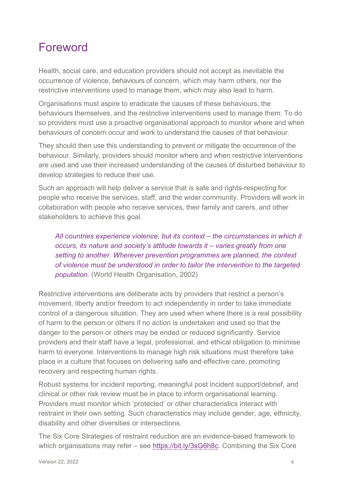### Foreword

Health, social care, and education providers should not accept as inevitable the occurrence of violence, behaviours of concern, which may harm others, nor the restrictive interventions used to manage them, which may also lead to harm.

Organisations must aspire to eradicate the causes of these behaviours, the behaviours themselves, and the restrictive interventions used to manage them. To do so providers must use a proactive organisational approach to monitor where and when behaviours of concern occur and work to understand the causes of that behaviour.

They should then use this understanding to prevent or mitigate the occurrence of the behaviour. Similarly, providers should monitor where and when restrictive interventions are used and use their increased understanding of the causes of disturbed behaviour to develop strategies to reduce their use.

Such an approach will help deliver a service that is safe and rights-respecting for people who receive the services, staff, and the wider community. Providers will work in collaboration with people who receive services, their family and carers, and other stakeholders to achieve this goal.

*All countries experience violence, but its context – the circumstances in which it occurs, its nature and society's attitude towards it – varies greatly from one setting to another. Wherever prevention programmes are planned, the context of violence must be understood in order to tailor the intervention to the targeted population.* (World Health Organisation, 2002)

Restrictive interventions are deliberate acts by providers that restrict a person's movement, liberty and/or freedom to act independently in order to take immediate control of a dangerous situation. They are used when where there is a real possibility of harm to the person or others if no action is undertaken and used so that the danger to the person or others may be ended or reduced significantly. Service providers and their staff have a legal, professional, and ethical obligation to minimise harm to everyone. Interventions to manage high risk situations must therefore take place in a culture that focuses on delivering safe and effective care, promoting recovery and respecting human rights.

Robust systems for incident reporting, meaningful post incident support/debrief, and clinical or other risk review must be in place to inform organisational learning. Providers must monitor which 'protected' or other characteristics interact with restraint in their own setting. Such characteristics may include gender, age, ethnicity, disability and other diversities or intersections.

The Six Core Strategies of restraint reduction are an evidence-based framework to which organisations may refer – see [https://bit.ly/3sG6h8c.](https://bit.ly/3sG6h8c) Combining the Six Core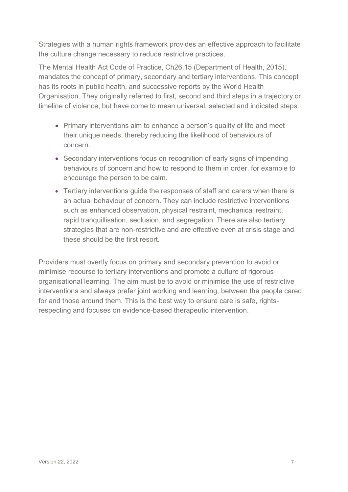Strategies with a human rights framework provides an effective approach to facilitate the culture change necessary to reduce restrictive practices.

The Mental Health Act Code of Practice, Ch26.15 (Department of Health, 2015), mandates the concept of primary, secondary and tertiary interventions. This concept has its roots in public health, and successive reports by the World Health Organisation. They originally referred to first, second and third steps in a trajectory or timeline of violence, but have come to mean universal, selected and indicated steps:

- Primary interventions aim to enhance a person's quality of life and meet their unique needs, thereby reducing the likelihood of behaviours of concern.
- Secondary interventions focus on recognition of early signs of impending behaviours of concern and how to respond to them in order, for example to encourage the person to be calm.
- Tertiary interventions guide the responses of staff and carers when there is an actual behaviour of concern. They can include restrictive interventions such as enhanced observation, physical restraint, mechanical restraint, rapid tranquillisation, seclusion, and segregation. There are also tertiary strategies that are non-restrictive and are effective even at crisis stage and these should be the first resort.

Providers must overtly focus on primary and secondary prevention to avoid or minimise recourse to tertiary interventions and promote a culture of rigorous organisational learning. The aim must be to avoid or minimise the use of restrictive interventions and always prefer joint working and learning, between the people cared for and those around them. This is the best way to ensure care is safe, rightsrespecting and focuses on evidence-based therapeutic intervention.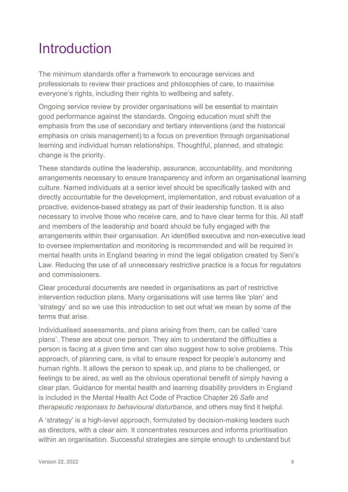## Introduction

The minimum standards offer a framework to encourage services and professionals to review their practices and philosophies of care, to maximise everyone's rights, including their rights to wellbeing and safety.

Ongoing service review by provider organisations will be essential to maintain good performance against the standards. Ongoing education must shift the emphasis from the use of secondary and tertiary interventions (and the historical emphasis on crisis management) to a focus on prevention through organisational learning and individual human relationships. Thoughtful, planned, and strategic change is the priority.

These standards outline the leadership, assurance, accountability, and monitoring arrangements necessary to ensure transparency and inform an organisational learning culture. Named individuals at a senior level should be specifically tasked with and directly accountable for the development, implementation, and robust evaluation of a proactive, evidence-based strategy as part of their leadership function. It is also necessary to involve those who receive care, and to have clear terms for this. All staff and members of the leadership and board should be fully engaged with the arrangements within their organisation. An identified executive and non-executive lead to oversee implementation and monitoring is recommended and will be required in mental health units in England bearing in mind the legal obligation created by Seni's Law. Reducing the use of all unnecessary restrictive practice is a focus for regulators and commissioners.

Clear procedural documents are needed in organisations as part of restrictive intervention reduction plans. Many organisations will use terms like 'plan' and 'strategy' and so we use this introduction to set out what we mean by some of the terms that arise.

Individualised assessments, and plans arising from them, can be called 'care plans'. These are about one person. They aim to understand the difficulties a person is facing at a given time and can also suggest how to solve problems. This approach, of planning care, is vital to ensure respect for people's autonomy and human rights. It allows the person to speak up, and plans to be challenged, or feelings to be aired, as well as the obvious operational benefit of simply having a clear plan. Guidance for mental health and learning disability providers in England is included in the Mental Health Act Code of Practice Chapter 26 *Safe and therapeutic responses to behavioural disturbance*, and others may find it helpful.

A 'strategy' is a high-level approach, formulated by decision-making leaders such as directors, with a clear aim. It concentrates resources and informs prioritisation within an organisation. Successful strategies are simple enough to understand but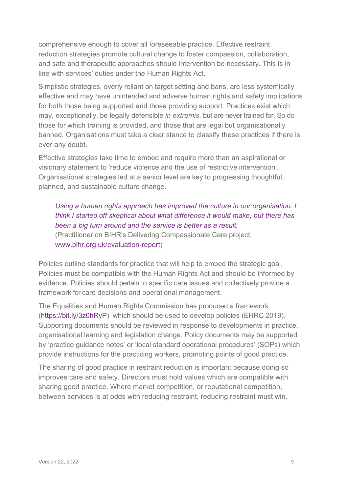comprehensive enough to cover all foreseeable practice. Effective restraint reduction strategies promote cultural change to foster compassion, collaboration, and safe and therapeutic approaches should intervention be necessary. This is in line with services' duties under the Human Rights Act.

Simplistic strategies, overly reliant on target setting and bans, are less systemically effective and may have unintended and adverse human rights and safety implications for both those being supported and those providing support. Practices exist which may, exceptionally, be legally defensible *in extremis*, but are never trained for. So do those for which training is provided, and those that are legal but organisationally banned. Organisations must take a clear stance to classify these practices if there is ever any doubt.

Effective strategies take time to embed and require more than an aspirational or visionary statement to 'reduce violence and the use of restrictive intervention'. Organisational strategies led at a senior level are key to progressing thoughtful, planned, and sustainable culture change.

*Using a human rights approach has improved the culture in our organisation. I think I started off skeptical about what difference it would make, but there has been a big turn around and the service is better as a result.*  (Practitioner on BIHR's Delivering Compassionate Care project, [www.bihr.org.uk/evaluation-report\)](http://www.bihr.org.uk/evaluation-report)

Policies outline standards for practice that will help to embed the strategic goal. Policies must be compatible with the Human Rights Act and should be informed by evidence. Policies should pertain to specific care issues and collectively provide a framework for care decisions and operational management.

The Equalities and Human Rights Commission has produced a framework [\(https://bit.ly/3z0hRyP\)](https://bit.ly/3z0hRyP) which should be used to develop policies (EHRC 2019). Supporting documents should be reviewed in response to developments in practice, organisational learning and legislation change. Policy documents may be supported by 'practice guidance notes' or 'local standard operational procedures' (SOPs) which provide instructions for the practicing workers, promoting points of good practice.

The sharing of good practice in restraint reduction is important because doing so improves care and safety. Directors must hold values which are compatible with sharing good practice. Where market competition, or reputational competition, between services is at odds with reducing restraint, reducing restraint must win.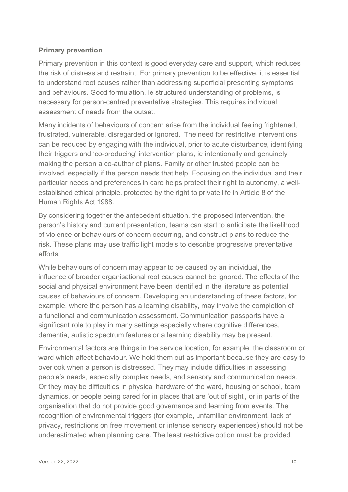#### **Primary prevention**

Primary prevention in this context is good everyday care and support, which reduces the risk of distress and restraint. For primary prevention to be effective, it is essential to understand root causes rather than addressing superficial presenting symptoms and behaviours. Good formulation, ie structured understanding of problems, is necessary for person-centred preventative strategies. This requires individual assessment of needs from the outset.

Many incidents of behaviours of concern arise from the individual feeling frightened, frustrated, vulnerable, disregarded or ignored. The need for restrictive interventions can be reduced by engaging with the individual, prior to acute disturbance, identifying their triggers and 'co-producing' intervention plans, ie intentionally and genuinely making the person a co-author of plans. Family or other trusted people can be involved, especially if the person needs that help. Focusing on the individual and their particular needs and preferences in care helps protect their right to autonomy, a wellestablished ethical principle, protected by the right to private life in Article 8 of the Human Rights Act 1988.

By considering together the antecedent situation, the proposed intervention, the person's history and current presentation, teams can start to anticipate the likelihood of violence or behaviours of concern occurring, and construct plans to reduce the risk. These plans may use traffic light models to describe progressive preventative efforts.

While behaviours of concern may appear to be caused by an individual, the influence of broader organisational root causes cannot be ignored. The effects of the social and physical environment have been identified in the literature as potential causes of behaviours of concern. Developing an understanding of these factors, for example, where the person has a learning disability, may involve the completion of a functional and communication assessment. Communication passports have a significant role to play in many settings especially where cognitive differences, dementia, autistic spectrum features or a learning disability may be present.

Environmental factors are things in the service location, for example, the classroom or ward which affect behaviour. We hold them out as important because they are easy to overlook when a person is distressed. They may include difficulties in assessing people's needs, especially complex needs, and sensory and communication needs. Or they may be difficulties in physical hardware of the ward, housing or school, team dynamics, or people being cared for in places that are 'out of sight', or in parts of the organisation that do not provide good governance and learning from events. The recognition of environmental triggers (for example, unfamiliar environment, lack of privacy, restrictions on free movement or intense sensory experiences) should not be underestimated when planning care. The least restrictive option must be provided.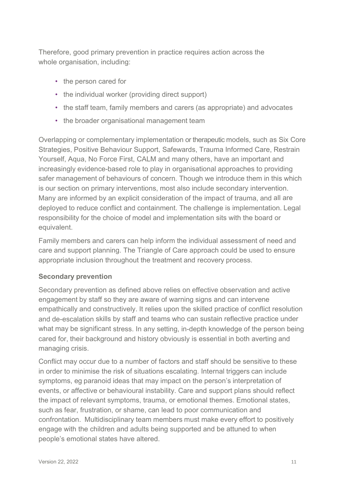Therefore, good primary prevention in practice requires action across the whole organisation, including:

- the person cared for
- the individual worker (providing direct support)
- the staff team, family members and carers (as appropriate) and advocates
- the broader organisational management team

Overlapping or complementary implementation or therapeutic models, such as Six Core Strategies, Positive Behaviour Support, Safewards, Trauma Informed Care, Restrain Yourself, Aqua, No Force First, CALM and many others, have an important and increasingly evidence-based role to play in organisational approaches to providing safer management of behaviours of concern. Though we introduce them in this which is our section on primary interventions, most also include secondary intervention. Many are informed by an explicit consideration of the impact of trauma, and all are deployed to reduce conflict and containment. The challenge is implementation. Legal responsibility for the choice of model and implementation sits with the board or equivalent.

Family members and carers can help inform the individual assessment of need and care and support planning. The Triangle of Care approach could be used to ensure appropriate inclusion throughout the treatment and recovery process.

#### **Secondary prevention**

Secondary prevention as defined above relies on effective observation and active engagement by staff so they are aware of warning signs and can intervene empathically and constructively. It relies upon the skilled practice of conflict resolution and de-escalation skills by staff and teams who can sustain reflective practice under what may be significant stress. In any setting, in-depth knowledge of the person being cared for, their background and history obviously is essential in both averting and managing crisis.

Conflict may occur due to a number of factors and staff should be sensitive to these in order to minimise the risk of situations escalating. Internal triggers can include symptoms, eg paranoid ideas that may impact on the person's interpretation of events, or affective or behavioural instability. Care and support plans should reflect the impact of relevant symptoms, trauma, or emotional themes. Emotional states, such as fear, frustration, or shame, can lead to poor communication and confrontation. Multidisciplinary team members must make every effort to positively engage with the children and adults being supported and be attuned to when people's emotional states have altered.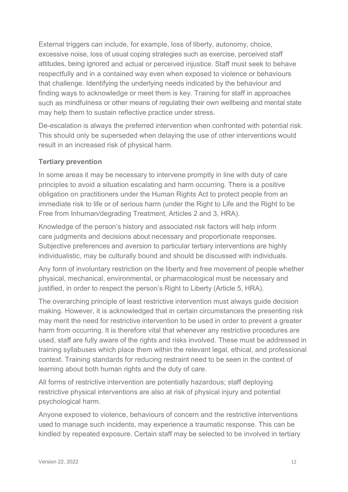External triggers can include, for example, loss of liberty, autonomy, choice, excessive noise, loss of usual coping strategies such as exercise, perceived staff attitudes, being ignored and actual or perceived injustice. Staff must seek to behave respectfully and in a contained way even when exposed to violence or behaviours that challenge. Identifying the underlying needs indicated by the behaviour and finding ways to acknowledge or meet them is key. Training for staff in approaches such as mindfulness or other means of regulating their own wellbeing and mental state may help them to sustain reflective practice under stress.

De-escalation is always the preferred intervention when confronted with potential risk. This should only be superseded when delaying the use of other interventions would result in an increased risk of physical harm.

#### **Tertiary prevention**

In some areas it may be necessary to intervene promptly in line with duty of care principles to avoid a situation escalating and harm occurring. There is a positive obligation on practitioners under the Human Rights Act to protect people from an immediate risk to life or of serious harm (under the Right to Life and the Right to be Free from Inhuman/degrading Treatment, Articles 2 and 3, HRA).

Knowledge of the person's history and associated risk factors will help inform care judgments and decisions about necessary and proportionate responses. Subjective preferences and aversion to particular tertiary interventions are highly individualistic, may be culturally bound and should be discussed with individuals.

Any form of involuntary restriction on the liberty and free movement of people whether physical, mechanical, environmental, or pharmacological must be necessary and justified, in order to respect the person's Right to Liberty (Article 5, HRA).

The overarching principle of least restrictive intervention must always guide decision making. However, it is acknowledged that in certain circumstances the presenting risk may merit the need for restrictive intervention to be used in order to prevent a greater harm from occurring. It is therefore vital that whenever any restrictive procedures are used, staff are fully aware of the rights and risks involved. These must be addressed in training syllabuses which place them within the relevant legal, ethical, and professional context. Training standards for reducing restraint need to be seen in the context of learning about both human rights and the duty of care.

All forms of restrictive intervention are potentially hazardous; staff deploying restrictive physical interventions are also at risk of physical injury and potential psychological harm.

Anyone exposed to violence, behaviours of concern and the restrictive interventions used to manage such incidents, may experience a traumatic response. This can be kindled by repeated exposure. Certain staff may be selected to be involved in tertiary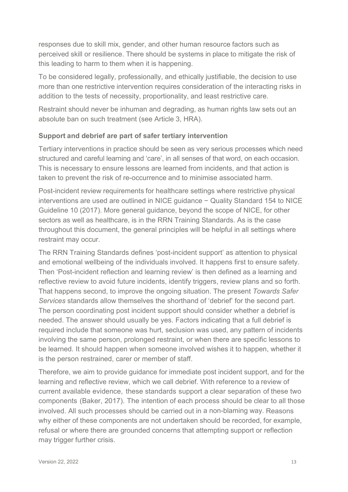responses due to skill mix, gender, and other human resource factors such as perceived skill or resilience. There should be systems in place to mitigate the risk of this leading to harm to them when it is happening.

To be considered legally, professionally, and ethically justifiable, the decision to use more than one restrictive intervention requires consideration of the interacting risks in addition to the tests of necessity, proportionality, and least restrictive care.

Restraint should never be inhuman and degrading, as human rights law sets out an absolute ban on such treatment (see Article 3, HRA).

#### **Support and debrief are part of safer tertiary intervention**

Tertiary interventions in practice should be seen as very serious processes which need structured and careful learning and 'care', in all senses of that word, on each occasion. This is necessary to ensure lessons are learned from incidents, and that action is taken to prevent the risk of re-occurrence and to minimise associated harm.

Post-incident review requirements for healthcare settings where restrictive physical interventions are used are outlined in NICE guidance − Quality Standard 154 to NICE Guideline 10 (2017). More general guidance, beyond the scope of NICE, for other sectors as well as healthcare, is in the RRN Training Standards. As is the case throughout this document, the general principles will be helpful in all settings where restraint may occur.

The RRN Training Standards defines 'post-incident support' as attention to physical and emotional wellbeing of the individuals involved. It happens first to ensure safety. Then 'Post-incident reflection and learning review' is then defined as a learning and reflective review to avoid future incidents, identify triggers, review plans and so forth. That happens second, to improve the ongoing situation. The present *Towards Safer Services* standards allow themselves the shorthand of 'debrief' for the second part. The person coordinating post incident support should consider whether a debrief is needed. The answer should usually be yes. Factors indicating that a full debrief is required include that someone was hurt, seclusion was used, any pattern of incidents involving the same person, prolonged restraint, or when there are specific lessons to be learned. It should happen when someone involved wishes it to happen, whether it is the person restrained, carer or member of staff.

Therefore, we aim to provide guidance for immediate post incident support, and for the learning and reflective review, which we call debrief. With reference to a review of current available evidence, these standards support a clear separation of these two components (Baker, 2017). The intention of each process should be clear to all those involved. All such processes should be carried out in a non-blaming way. Reasons why either of these components are not undertaken should be recorded, for example, refusal or where there are grounded concerns that attempting support or reflection may trigger further crisis.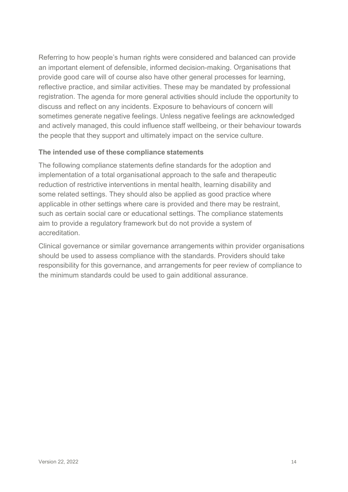Referring to how people's human rights were considered and balanced can provide an important element of defensible, informed decision-making. Organisations that provide good care will of course also have other general processes for learning, reflective practice, and similar activities. These may be mandated by professional registration. The agenda for more general activities should include the opportunity to discuss and reflect on any incidents. Exposure to behaviours of concern will sometimes generate negative feelings. Unless negative feelings are acknowledged and actively managed, this could influence staff wellbeing, or their behaviour towards the people that they support and ultimately impact on the service culture.

#### **The intended use of these compliance statements**

The following compliance statements define standards for the adoption and implementation of a total organisational approach to the safe and therapeutic reduction of restrictive interventions in mental health, learning disability and some related settings. They should also be applied as good practice where applicable in other settings where care is provided and there may be restraint, such as certain social care or educational settings. The compliance statements aim to provide a regulatory framework but do not provide a system of accreditation.

Clinical governance or similar governance arrangements within provider organisations should be used to assess compliance with the standards. Providers should take responsibility for this governance, and arrangements for peer review of compliance to the minimum standards could be used to gain additional assurance.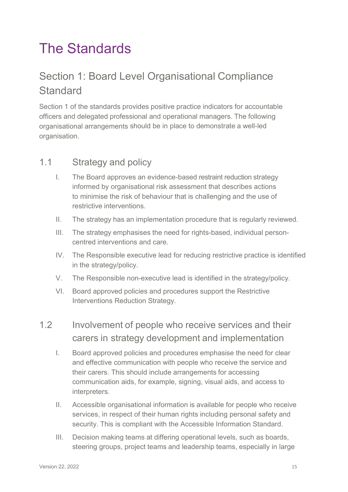## The Standards

## Section 1: Board Level Organisational Compliance **Standard**

Section 1 of the standards provides positive practice indicators for accountable officers and delegated professional and operational managers. The following organisational arrangements should be in place to demonstrate a well-led organisation.

#### 1.1 Strategy and policy

- I. The Board approves an evidence-based restraint reduction strategy informed by organisational risk assessment that describes actions to minimise the risk of behaviour that is challenging and the use of restrictive interventions.
- II. The strategy has an implementation procedure that is regularly reviewed.
- III. The strategy emphasises the need for rights-based, individual personcentred interventions and care.
- IV. The Responsible executive lead for reducing restrictive practice is identified in the strategy/policy.
- V. The Responsible non-executive lead is identified in the strategy/policy.
- VI. Board approved policies and procedures support the Restrictive Interventions Reduction Strategy.
- 1.2 Involvement of people who receive services and their carers in strategy development and implementation
	- I. Board approved policies and procedures emphasise the need for clear and effective communication with people who receive the service and their carers. This should include arrangements for accessing communication aids, for example, signing, visual aids, and access to interpreters.
	- II. Accessible organisational information is available for people who receive services, in respect of their human rights including personal safety and security. This is compliant with the Accessible Information Standard.
	- III. Decision making teams at differing operational levels, such as boards, steering groups, project teams and leadership teams, especially in large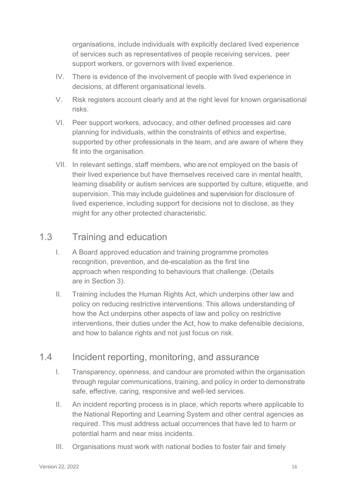organisations, include individuals with explicitly declared lived experience of services such as representatives of people receiving services, peer support workers, or governors with lived experience.

- IV. There is evidence of the involvement of people with lived experience in decisions, at different organisational levels.
- V. Risk registers account clearly and at the right level for known organisational risks.
- VI. Peer support workers, advocacy, and other defined processes aid care planning for individuals, within the constraints of ethics and expertise, supported by other professionals in the team, and are aware of where they fit into the organisation.
- VII. In relevant settings, staff members, who are not employed on the basis of their lived experience but have themselves received care in mental health, learning disability or autism services are supported by culture, etiquette, and supervision. This may include guidelines and supervision for disclosure of lived experience, including support for decisions not to disclose, as they might for any other protected characteristic.

#### 1.3 Training and education

- I. A Board approved education and training programme promotes recognition, prevention, and de-escalation as the first line approach when responding to behaviours that challenge. (Details are in Section 3).
- II. Training includes the Human Rights Act, which underpins other law and policy on reducing restrictive interventions. This allows understanding of how the Act underpins other aspects of law and policy on restrictive interventions, their duties under the Act, how to make defensible decisions, and how to balance rights and not just focus on risk.

### 1.4 Incident reporting, monitoring, and assurance

- I. Transparency, openness, and candour are promoted within the organisation through regular communications, training, and policy in order to demonstrate safe, effective, caring, responsive and well-led services.
- II. An incident reporting process is in place, which reports where applicable to the National Reporting and Learning System and other central agencies as required. This must address actual occurrences that have led to harm or potential harm and near miss incidents.
- III. Organisations must work with national bodies to foster fair and timely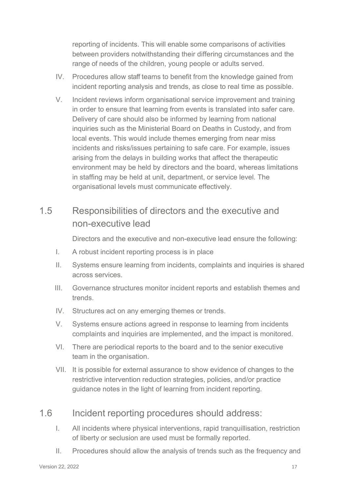reporting of incidents. This will enable some comparisons of activities between providers notwithstanding their differing circumstances and the range of needs of the children, young people or adults served.

- IV. Procedures allow staff teams to benefit from the knowledge gained from incident reporting analysis and trends, as close to real time as possible.
- V. Incident reviews inform organisational service improvement and training in order to ensure that learning from events is translated into safer care. Delivery of care should also be informed by learning from national inquiries such as the Ministerial Board on Deaths in Custody, and from local events. This would include themes emerging from near miss incidents and risks/issues pertaining to safe care. For example, issues arising from the delays in building works that affect the therapeutic environment may be held by directors and the board, whereas limitations in staffing may be held at unit, department, or service level. The organisational levels must communicate effectively.

### 1.5 Responsibilities of directors and the executive and non-executive lead

Directors and the executive and non-executive lead ensure the following:

- I. A robust incident reporting process is in place
- II. Systems ensure learning from incidents, complaints and inquiries is shared across services.
- III. Governance structures monitor incident reports and establish themes and trends.
- IV. Structures act on any emerging themes or trends.
- V. Systems ensure actions agreed in response to learning from incidents complaints and inquiries are implemented, and the impact is monitored.
- VI. There are periodical reports to the board and to the senior executive team in the organisation.
- VII. It is possible for external assurance to show evidence of changes to the restrictive intervention reduction strategies, policies, and/or practice guidance notes in the light of learning from incident reporting.

### 1.6 Incident reporting procedures should address:

- I. All incidents where physical interventions, rapid tranquillisation, restriction of liberty or seclusion are used must be formally reported.
- II. Procedures should allow the analysis of trends such as the frequency and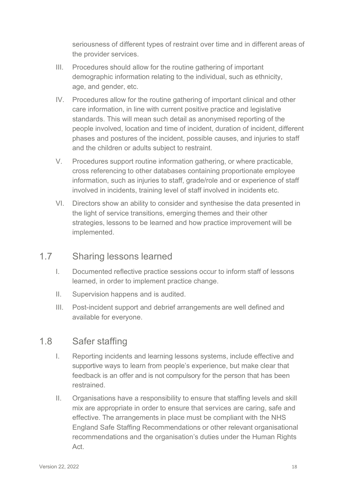seriousness of different types of restraint over time and in different areas of the provider services.

- III. Procedures should allow for the routine gathering of important demographic information relating to the individual, such as ethnicity, age, and gender, etc.
- IV. Procedures allow for the routine gathering of important clinical and other care information, in line with current positive practice and legislative standards. This will mean such detail as anonymised reporting of the people involved, location and time of incident, duration of incident, different phases and postures of the incident, possible causes, and injuries to staff and the children or adults subject to restraint.
- V. Procedures support routine information gathering, or where practicable, cross referencing to other databases containing proportionate employee information, such as injuries to staff, grade/role and or experience of staff involved in incidents, training level of staff involved in incidents etc.
- VI. Directors show an ability to consider and synthesise the data presented in the light of service transitions, emerging themes and their other strategies, lessons to be learned and how practice improvement will be implemented.

#### 1.7 Sharing lessons learned

- I. Documented reflective practice sessions occur to inform staff of lessons learned, in order to implement practice change.
- II. Supervision happens and is audited.
- III. Post-incident support and debrief arrangements are well defined and available for everyone.

### 1.8 Safer staffing

- I. Reporting incidents and learning lessons systems, include effective and supportive ways to learn from people's experience, but make clear that feedback is an offer and is not compulsory for the person that has been restrained.
- II. Organisations have a responsibility to ensure that staffing levels and skill mix are appropriate in order to ensure that services are caring, safe and effective. The arrangements in place must be compliant with the NHS England Safe Staffing Recommendations or other relevant organisational recommendations and the organisation's duties under the Human Rights Act.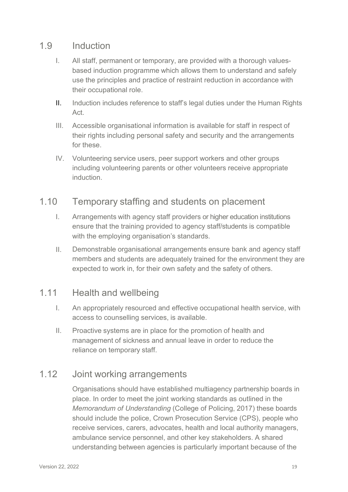#### 1.9 Induction

- I. All staff, permanent or temporary, are provided with a thorough valuesbased induction programme which allows them to understand and safely use the principles and practice of restraint reduction in accordance with their occupational role.
- II. Induction includes reference to staff's legal duties under the Human Rights Act.
- III. Accessible organisational information is available for staff in respect of their rights including personal safety and security and the arrangements for these.
- IV. Volunteering service users, peer support workers and other groups including volunteering parents or other volunteers receive appropriate **induction**

#### 1.10 Temporary staffing and students on placement

- I. Arrangements with agency staff providers or higher education institutions ensure that the training provided to agency staff/students is compatible with the employing organisation's standards.
- II. Demonstrable organisational arrangements ensure bank and agency staff members and students are adequately trained for the environment they are expected to work in, for their own safety and the safety of others.

#### 1.11 Health and wellbeing

- I. An appropriately resourced and effective occupational health service, with access to counselling services, is available.
- II. Proactive systems are in place for the promotion of health and management of sickness and annual leave in order to reduce the reliance on temporary staff.

### 1.12 Joint working arrangements

Organisations should have established multiagency partnership boards in place. In order to meet the joint working standards as outlined in the *Memorandum of Understanding* (College of Policing, 2017) these boards should include the police, Crown Prosecution Service (CPS), people who receive services, carers, advocates, health and local authority managers, ambulance service personnel, and other key stakeholders. A shared understanding between agencies is particularly important because of the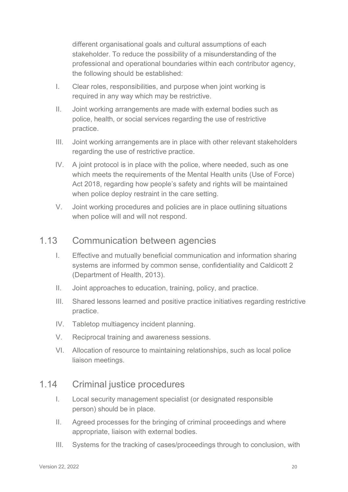different organisational goals and cultural assumptions of each stakeholder. To reduce the possibility of a misunderstanding of the professional and operational boundaries within each contributor agency, the following should be established:

- I. Clear roles, responsibilities, and purpose when joint working is required in any way which may be restrictive.
- II. Joint working arrangements are made with external bodies such as police, health, or social services regarding the use of restrictive practice.
- III. Joint working arrangements are in place with other relevant stakeholders regarding the use of restrictive practice.
- IV. A joint protocol is in place with the police, where needed, such as one which meets the requirements of the Mental Health units (Use of Force) Act 2018, regarding how people's safety and rights will be maintained when police deploy restraint in the care setting.
- V. Joint working procedures and policies are in place outlining situations when police will and will not respond.

#### 1.13 Communication between agencies

- I. Effective and mutually beneficial communication and information sharing systems are informed by common sense, confidentiality and Caldicott 2 (Department of Health, 2013).
- II. Joint approaches to education, training, policy, and practice.
- III. Shared lessons learned and positive practice initiatives regarding restrictive practice.
- IV. Tabletop multiagency incident planning.
- V. Reciprocal training and awareness sessions.
- VI. Allocation of resource to maintaining relationships, such as local police liaison meetings.

#### 1.14 Criminal justice procedures

- I. Local security management specialist (or designated responsible person) should be in place.
- II. Agreed processes for the bringing of criminal proceedings and where appropriate, liaison with external bodies.
- III. Systems for the tracking of cases/proceedings through to conclusion, with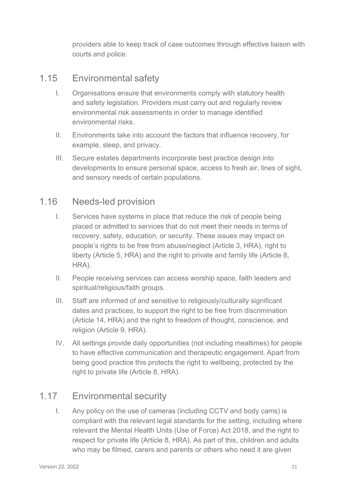providers able to keep track of case outcomes through effective liaison with courts and police.

#### 1.15 Environmental safety

- I. Organisations ensure that environments comply with statutory health and safety legislation. Providers must carry out and regularly review environmental risk assessments in order to manage identified environmental risks.
- II. Environments take into account the factors that influence recovery, for example, sleep, and privacy.
- III. Secure estates departments incorporate best practice design into developments to ensure personal space, access to fresh air, lines of sight, and sensory needs of certain populations.

#### 1.16 Needs-led provision

- I. Services have systems in place that reduce the risk of people being placed or admitted to services that do not meet their needs in terms of recovery, safety, education, or security. These issues may impact on people's rights to be free from abuse/neglect (Article 3, HRA), right to liberty (Article 5, HRA) and the right to private and family life (Article 8, HRA).
- II. People receiving services can access worship space, faith leaders and spiritual/religious/faith groups.
- III. Staff are informed of and sensitive to religiously/culturally significant dates and practices, to support the right to be free from discrimination (Article 14, HRA) and the right to freedom of thought, conscience, and religion (Article 9, HRA).
- IV. All settings provide daily opportunities (not including mealtimes) for people to have effective communication and therapeutic engagement. Apart from being good practice this protects the right to wellbeing, protected by the right to private life (Article 8, HRA).

### 1.17 Environmental security

I. Any policy on the use of cameras (including CCTV and body cams) is compliant with the relevant legal standards for the setting, including where relevant the Mental Health Units (Use of Force) Act 2018, and the right to respect for private life (Article 8, HRA). As part of this, children and adults who may be filmed, carers and parents or others who need it are given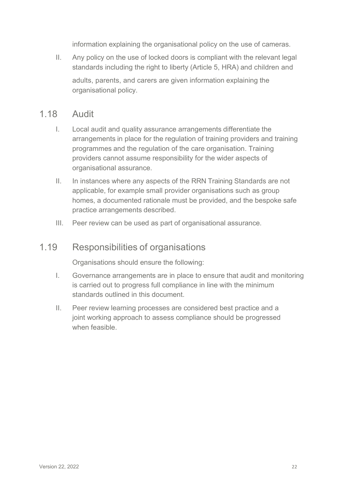information explaining the organisational policy on the use of cameras.

II. Any policy on the use of locked doors is compliant with the relevant legal standards including the right to liberty (Article 5, HRA) and children and adults, parents, and carers are given information explaining the organisational policy.

#### 1.18 Audit

- I. Local audit and quality assurance arrangements differentiate the arrangements in place for the regulation of training providers and training programmes and the regulation of the care organisation. Training providers cannot assume responsibility for the wider aspects of organisational assurance.
- II. In instances where any aspects of the RRN Training Standards are not applicable, for example small provider organisations such as group homes, a documented rationale must be provided, and the bespoke safe practice arrangements described.
- III. Peer review can be used as part of organisational assurance.

#### 1.19 Responsibilities of organisations

Organisations should ensure the following:

- I. Governance arrangements are in place to ensure that audit and monitoring is carried out to progress full compliance in line with the minimum standards outlined in this document.
- II. Peer review learning processes are considered best practice and a joint working approach to assess compliance should be progressed when feasible.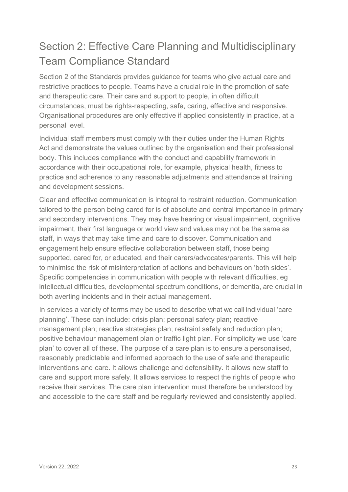## Section 2: Effective Care Planning and Multidisciplinary Team Compliance Standard

Section 2 of the Standards provides guidance for teams who give actual care and restrictive practices to people. Teams have a crucial role in the promotion of safe and therapeutic care. Their care and support to people, in often difficult circumstances, must be rights-respecting, safe, caring, effective and responsive. Organisational procedures are only effective if applied consistently in practice, at a personal level.

Individual staff members must comply with their duties under the Human Rights Act and demonstrate the values outlined by the organisation and their professional body. This includes compliance with the conduct and capability framework in accordance with their occupational role, for example, physical health, fitness to practice and adherence to any reasonable adjustments and attendance at training and development sessions.

Clear and effective communication is integral to restraint reduction. Communication tailored to the person being cared for is of absolute and central importance in primary and secondary interventions. They may have hearing or visual impairment, cognitive impairment, their first language or world view and values may not be the same as staff, in ways that may take time and care to discover. Communication and engagement help ensure effective collaboration between staff, those being supported, cared for, or educated, and their carers/advocates/parents. This will help to minimise the risk of misinterpretation of actions and behaviours on 'both sides'. Specific competencies in communication with people with relevant difficulties, eg intellectual difficulties, developmental spectrum conditions, or dementia, are crucial in both averting incidents and in their actual management.

In services a variety of terms may be used to describe what we call individual 'care planning'. These can include: crisis plan; personal safety plan; reactive management plan; reactive strategies plan; restraint safety and reduction plan; positive behaviour management plan or traffic light plan. For simplicity we use 'care plan' to cover all of these. The purpose of a care plan is to ensure a personalised, reasonably predictable and informed approach to the use of safe and therapeutic interventions and care. It allows challenge and defensibility. It allows new staff to care and support more safely. It allows services to respect the rights of people who receive their services. The care plan intervention must therefore be understood by and accessible to the care staff and be regularly reviewed and consistently applied.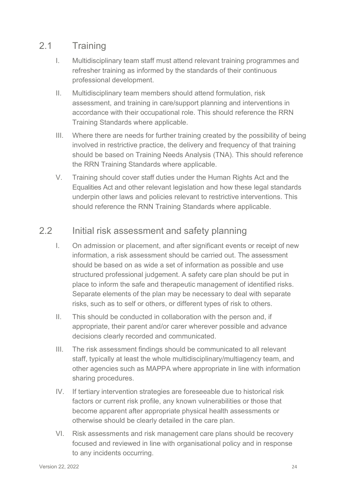### 2.1 Training

- I. Multidisciplinary team staff must attend relevant training programmes and refresher training as informed by the standards of their continuous professional development.
- II. Multidisciplinary team members should attend formulation, risk assessment, and training in care/support planning and interventions in accordance with their occupational role. This should reference the RRN Training Standards where applicable.
- III. Where there are needs for further training created by the possibility of being involved in restrictive practice, the delivery and frequency of that training should be based on Training Needs Analysis (TNA). This should reference the RRN Training Standards where applicable.
- V. Training should cover staff duties under the Human Rights Act and the Equalities Act and other relevant legislation and how these legal standards underpin other laws and policies relevant to restrictive interventions. This should reference the RNN Training Standards where applicable.

### 2.2 Initial risk assessment and safety planning

- I. On admission or placement, and after significant events or receipt of new information, a risk assessment should be carried out. The assessment should be based on as wide a set of information as possible and use structured professional judgement. A safety care plan should be put in place to inform the safe and therapeutic management of identified risks. Separate elements of the plan may be necessary to deal with separate risks, such as to self or others, or different types of risk to others.
- II. This should be conducted in collaboration with the person and, if appropriate, their parent and/or carer wherever possible and advance decisions clearly recorded and communicated.
- III. The risk assessment findings should be communicated to all relevant staff, typically at least the whole multidisciplinary/multiagency team, and other agencies such as MAPPA where appropriate in line with information sharing procedures.
- IV. If tertiary intervention strategies are foreseeable due to historical risk factors or current risk profile, any known vulnerabilities or those that become apparent after appropriate physical health assessments or otherwise should be clearly detailed in the care plan.
- VI. Risk assessments and risk management care plans should be recovery focused and reviewed in line with organisational policy and in response to any incidents occurring.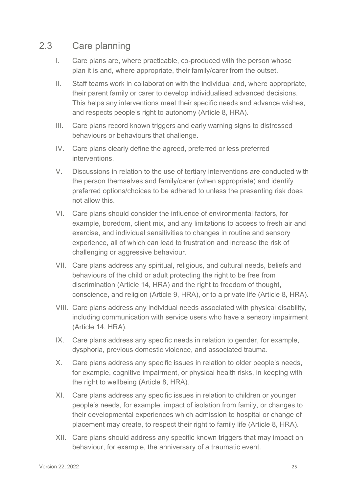#### 2.3 Care planning

- I. Care plans are, where practicable, co-produced with the person whose plan it is and, where appropriate, their family/carer from the outset.
- II. Staff teams work in collaboration with the individual and, where appropriate, their parent family or carer to develop individualised advanced decisions. This helps any interventions meet their specific needs and advance wishes, and respects people's right to autonomy (Article 8, HRA).
- III. Care plans record known triggers and early warning signs to distressed behaviours or behaviours that challenge.
- IV. Care plans clearly define the agreed, preferred or less preferred interventions.
- V. Discussions in relation to the use of tertiary interventions are conducted with the person themselves and family/carer (when appropriate) and identify preferred options/choices to be adhered to unless the presenting risk does not allow this.
- VI. Care plans should consider the influence of environmental factors, for example, boredom, client mix, and any limitations to access to fresh air and exercise, and individual sensitivities to changes in routine and sensory experience, all of which can lead to frustration and increase the risk of challenging or aggressive behaviour.
- VII. Care plans address any spiritual, religious, and cultural needs, beliefs and behaviours of the child or adult protecting the right to be free from discrimination (Article 14, HRA) and the right to freedom of thought, conscience, and religion (Article 9, HRA), or to a private life (Article 8, HRA).
- VIII. Care plans address any individual needs associated with physical disability, including communication with service users who have a sensory impairment (Article 14, HRA).
- IX. Care plans address any specific needs in relation to gender, for example, dysphoria, previous domestic violence, and associated trauma.
- X. Care plans address any specific issues in relation to older people's needs, for example, cognitive impairment, or physical health risks, in keeping with the right to wellbeing (Article 8, HRA).
- XI. Care plans address any specific issues in relation to children or younger people's needs, for example, impact of isolation from family, or changes to their developmental experiences which admission to hospital or change of placement may create, to respect their right to family life (Article 8, HRA).
- XII. Care plans should address any specific known triggers that may impact on behaviour, for example, the anniversary of a traumatic event.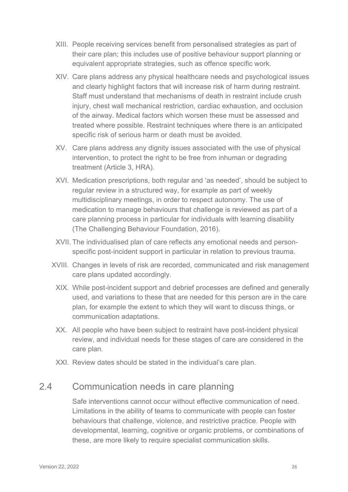- XIII. People receiving services benefit from personalised strategies as part of their care plan; this includes use of positive behaviour support planning or equivalent appropriate strategies, such as offence specific work.
- XIV. Care plans address any physical healthcare needs and psychological issues and clearly highlight factors that will increase risk of harm during restraint. Staff must understand that mechanisms of death in restraint include crush injury, chest wall mechanical restriction, cardiac exhaustion, and occlusion of the airway. Medical factors which worsen these must be assessed and treated where possible. Restraint techniques where there is an anticipated specific risk of serious harm or death must be avoided.
- XV. Care plans address any dignity issues associated with the use of physical intervention, to protect the right to be free from inhuman or degrading treatment (Article 3, HRA).
- XVI. Medication prescriptions, both regular and 'as needed', should be subject to regular review in a structured way, for example as part of weekly multidisciplinary meetings, in order to respect autonomy. The use of medication to manage behaviours that challenge is reviewed as part of a care planning process in particular for individuals with learning disability (The Challenging Behaviour Foundation, 2016).
- XVII. The individualised plan of care reflects any emotional needs and personspecific post-incident support in particular in relation to previous trauma.
- XVIII. Changes in levels of risk are recorded, communicated and risk management care plans updated accordingly.
	- XIX. While post-incident support and debrief processes are defined and generally used, and variations to these that are needed for this person are in the care plan, for example the extent to which they will want to discuss things, or communication adaptations.
	- XX. All people who have been subject to restraint have post-incident physical review, and individual needs for these stages of care are considered in the care plan.
	- XXI. Review dates should be stated in the individual's care plan.

#### 2.4 Communication needs in care planning

Safe interventions cannot occur without effective communication of need. Limitations in the ability of teams to communicate with people can foster behaviours that challenge, violence, and restrictive practice. People with developmental, learning, cognitive or organic problems, or combinations of these, are more likely to require specialist communication skills.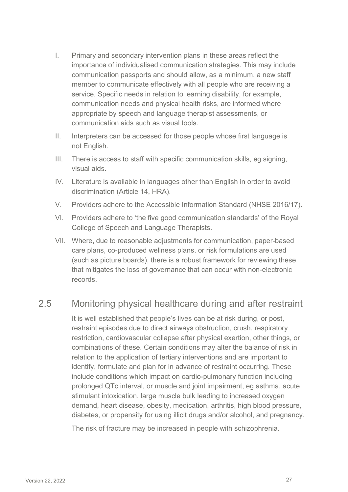- I. Primary and secondary intervention plans in these areas reflect the importance of individualised communication strategies. This may include communication passports and should allow, as a minimum, a new staff member to communicate effectively with all people who are receiving a service. Specific needs in relation to learning disability, for example, communication needs and physical health risks, are informed where appropriate by speech and language therapist assessments, or communication aids such as visual tools.
- II. Interpreters can be accessed for those people whose first language is not English.
- III. There is access to staff with specific communication skills, eg signing, visual aids.
- IV. Literature is available in languages other than English in order to avoid discrimination (Article 14, HRA).
- V. Providers adhere to the Accessible Information Standard (NHSE 2016/17).
- VI. Providers adhere to 'the five good communication standards' of the Royal College of Speech and Language Therapists.
- VII. Where, due to reasonable adjustments for communication, paper-based care plans, co-produced wellness plans, or risk formulations are used (such as picture boards), there is a robust framework for reviewing these that mitigates the loss of governance that can occur with non-electronic records.

### 2.5 Monitoring physical healthcare during and after restraint

It is well established that people's lives can be at risk during, or post, restraint episodes due to direct airways obstruction, crush, respiratory restriction, cardiovascular collapse after physical exertion, other things, or combinations of these. Certain conditions may alter the balance of risk in relation to the application of tertiary interventions and are important to identify, formulate and plan for in advance of restraint occurring. These include conditions which impact on cardio-pulmonary function including prolonged QTc interval, or muscle and joint impairment, eg asthma, acute stimulant intoxication, large muscle bulk leading to increased oxygen demand, heart disease, obesity, medication, arthritis, high blood pressure, diabetes, or propensity for using illicit drugs and/or alcohol, and pregnancy.

The risk of fracture may be increased in people with schizophrenia.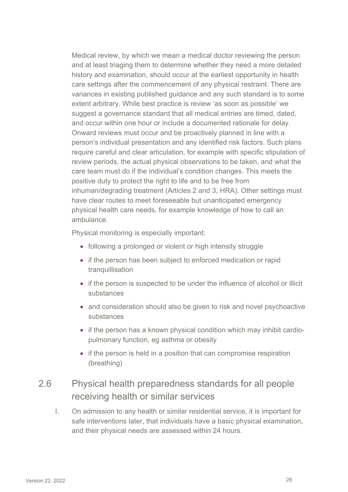Medical review, by which we mean a medical doctor reviewing the person and at least triaging them to determine whether they need a more detailed history and examination, should occur at the earliest opportunity in health care settings after the commencement of any physical restraint. There are variances in existing published guidance and any such standard is to some extent arbitrary. While best practice is review 'as soon as possible' we suggest a governance standard that all medical entries are timed, dated, and occur within one hour or include a documented rationale for delay. Onward reviews must occur and be proactively planned in line with a person's individual presentation and any identified risk factors. Such plans require careful and clear articulation, for example with specific stipulation of review periods, the actual physical observations to be taken, and what the care team must do if the individual's condition changes. This meets the positive duty to protect the right to life and to be free from inhuman/degrading treatment (Articles 2 and 3, HRA). Other settings must have clear routes to meet foreseeable but unanticipated emergency physical health care needs, for example knowledge of how to call an ambulance.

Physical monitoring is especially important:

- following a prolonged or violent or high intensity struggle
- if the person has been subject to enforced medication or rapid tranquillisation
- if the person is suspected to be under the influence of alcohol or illicit substances
- and consideration should also be given to risk and novel psychoactive substances
- if the person has a known physical condition which may inhibit cardiopulmonary function, eg asthma or obesity
- if the person is held in a position that can compromise respiration (breathing)

### 2.6 Physical health preparedness standards for all people receiving health or similar services

I. On admission to any health or similar residential service, it is important for safe interventions later, that individuals have a basic physical examination, and their physical needs are assessed within 24 hours.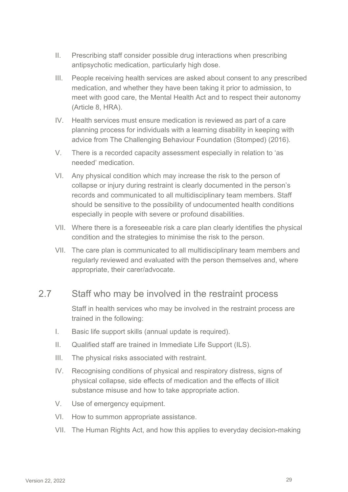- II. Prescribing staff consider possible drug interactions when prescribing antipsychotic medication, particularly high dose.
- III. People receiving health services are asked about consent to any prescribed medication, and whether they have been taking it prior to admission, to meet with good care, the Mental Health Act and to respect their autonomy (Article 8, HRA).
- IV. Health services must ensure medication is reviewed as part of a care planning process for individuals with a learning disability in keeping with advice from The Challenging Behaviour Foundation (Stomped) (2016).
- V. There is a recorded capacity assessment especially in relation to 'as needed' medication.
- VI. Any physical condition which may increase the risk to the person of collapse or injury during restraint is clearly documented in the person's records and communicated to all multidisciplinary team members. Staff should be sensitive to the possibility of undocumented health conditions especially in people with severe or profound disabilities.
- VII. Where there is a foreseeable risk a care plan clearly identifies the physical condition and the strategies to minimise the risk to the person.
- VII. The care plan is communicated to all multidisciplinary team members and regularly reviewed and evaluated with the person themselves and, where appropriate, their carer/advocate.

#### 2.7 Staff who may be involved in the restraint process

Staff in health services who may be involved in the restraint process are trained in the following:

- I. Basic life support skills (annual update is required).
- II. Qualified staff are trained in Immediate Life Support (ILS).
- III. The physical risks associated with restraint.
- IV. Recognising conditions of physical and respiratory distress, signs of physical collapse, side effects of medication and the effects of illicit substance misuse and how to take appropriate action.
- V. Use of emergency equipment.
- VI. How to summon appropriate assistance.
- VII. The Human Rights Act, and how this applies to everyday decision-making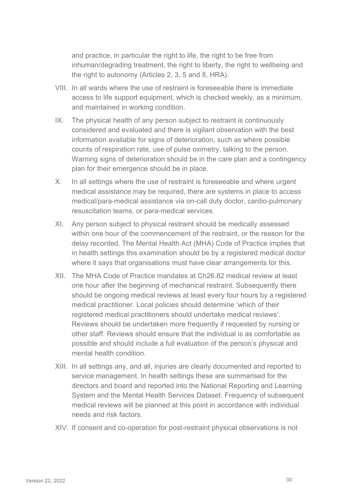and practice, in particular the right to life, the right to be free from inhuman/degrading treatment, the right to liberty, the right to wellbeing and the right to autonomy (Articles 2, 3, 5 and 8, HRA).

- VIII. In all wards where the use of restraint is foreseeable there is immediate access to life support equipment, which is checked weekly, as a minimum, and maintained in working condition.
- IX. The physical health of any person subject to restraint is continuously considered and evaluated and there is vigilant observation with the best information available for signs of deterioration, such as where possible counts of respiration rate, use of pulse oximetry, talking to the person. Warning signs of deterioration should be in the care plan and a contingency plan for their emergence should be in place.
- X. In all settings where the use of restraint is foreseeable and where urgent medical assistance may be required, there are systems in place to access medical/para-medical assistance via on-call duty doctor, cardio-pulmonary resuscitation teams, or para-medical services.
- XI. Any person subject to physical restraint should be medically assessed within one hour of the commencement of the restraint, or the reason for the delay recorded. The Mental Health Act (MHA) Code of Practice implies that in health settings this examination should be by a registered medical doctor where it says that organisations must have clear arrangements for this.
- XII. The MHA Code of Practice mandates at Ch26.82 medical review at least one hour after the beginning of mechanical restraint. Subsequently there should be ongoing medical reviews at least every four hours by a registered medical practitioner. Local policies should determine 'which of their registered medical practitioners should undertake medical reviews'. Reviews should be undertaken more frequently if requested by nursing or other staff. Reviews should ensure that the individual is as comfortable as possible and should include a full evaluation of the person's physical and mental health condition.
- XIII. In all settings any, and all, injuries are clearly documented and reported to service management. In health settings these are summarised for the directors and board and reported into the National Reporting and Learning System and the Mental Health Services Dataset. Frequency of subsequent medical reviews will be planned at this point in accordance with individual needs and risk factors.
- XIV. If consent and co-operation for post-restraint physical observations is not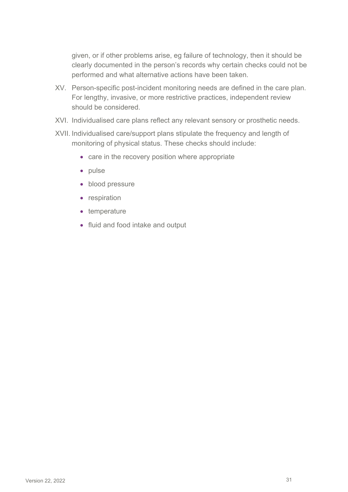given, or if other problems arise, eg failure of technology, then it should be clearly documented in the person's records why certain checks could not be performed and what alternative actions have been taken.

- XV. Person-specific post-incident monitoring needs are defined in the care plan. For lengthy, invasive, or more restrictive practices, independent review should be considered.
- XVI. Individualised care plans reflect any relevant sensory or prosthetic needs.
- XVII. Individualised care/support plans stipulate the frequency and length of monitoring of physical status. These checks should include:
	- care in the recovery position where appropriate
	- pulse
	- blood pressure
	- respiration
	- temperature
	- fluid and food intake and output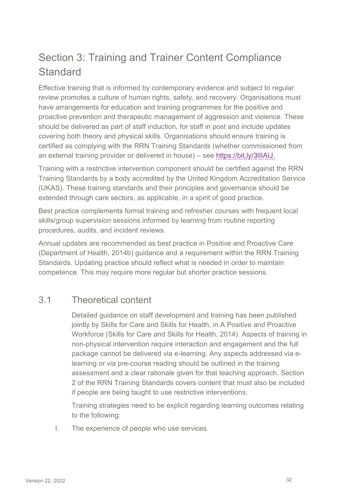## Section 3: Training and Trainer Content Compliance **Standard**

Effective training that is informed by contemporary evidence and subject to regular review promotes a culture of human rights, safety, and recovery. Organisations must have arrangements for education and training programmes for the positive and proactive prevention and therapeutic management of aggression and violence. These should be delivered as part of staff induction, for staff in post and include updates covering both theory and physical skills. Organisations should ensure training is certified as complying with the RRN Training Standards (whether commissioned from an external training provider or delivered in house) – see [https://bit.ly/3lIIAIJ.](https://bit.ly/3lIIAIJ)

Training with a restrictive intervention component should be certified against the RRN Training Standards by a body accredited by the United Kingdom Accreditation Service (UKAS). These training standards and their principles and governance should be extended through care sectors, as applicable, in a spirit of good practice.

Best practice complements formal training and refresher courses with frequent local skills/group supervision sessions informed by learning from routine reporting procedures, audits, and incident reviews.

Annual updates are recommended as best practice in Positive and Proactive Care (Department of Health, 2014b) guidance and a requirement within the RRN Training Standards. Updating practice should reflect what is needed in order to maintain competence. This may require more regular but shorter practice sessions.

### 3.1 Theoretical content

Detailed guidance on staff development and training has been published jointly by Skills for Care and Skills for Health, in A Positive and Proactive Workforce (Skills for Care and Skills for Health, 2014). Aspects of training in non-physical intervention require interaction and engagement and the full package cannot be delivered via e-learning. Any aspects addressed via elearning or via pre-course reading should be outlined in the training assessment and a clear rationale given for that teaching approach. Section 2 of the RRN Training Standards covers content that must also be included if people are being taught to use restrictive interventions.

Training strategies need to be explicit regarding learning outcomes relating to the following:

I. The experience of people who use services.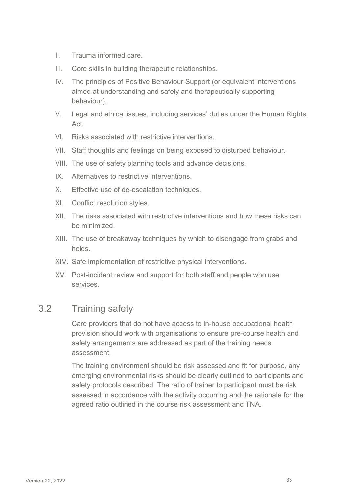- II. Trauma informed care.
- III. Core skills in building therapeutic relationships.
- IV. The principles of Positive Behaviour Support (or equivalent interventions aimed at understanding and safely and therapeutically supporting behaviour).
- V. Legal and ethical issues, including services' duties under the Human Rights Act.
- VI. Risks associated with restrictive interventions.
- VII. Staff thoughts and feelings on being exposed to disturbed behaviour.
- VIII. The use of safety planning tools and advance decisions.
- IX. Alternatives to restrictive interventions.
- X. Effective use of de-escalation techniques.
- XI. Conflict resolution styles.
- XII. The risks associated with restrictive interventions and how these risks can be minimized.
- XIII. The use of breakaway techniques by which to disengage from grabs and holds.
- XIV. Safe implementation of restrictive physical interventions.
- XV. Post-incident review and support for both staff and people who use services.

#### 3.2 Training safety

Care providers that do not have access to in-house occupational health provision should work with organisations to ensure pre-course health and safety arrangements are addressed as part of the training needs assessment.

The training environment should be risk assessed and fit for purpose, any emerging environmental risks should be clearly outlined to participants and safety protocols described. The ratio of trainer to participant must be risk assessed in accordance with the activity occurring and the rationale for the agreed ratio outlined in the course risk assessment and TNA.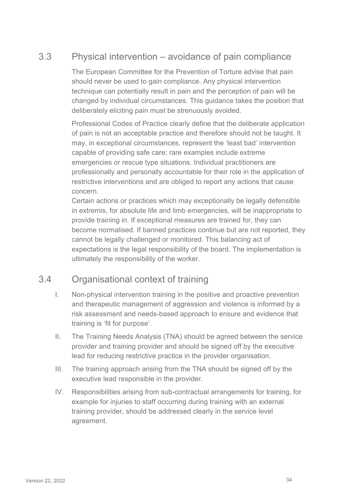### 3.3 Physical intervention – avoidance of pain compliance

The European Committee for the Prevention of Torture advise that pain should never be used to gain compliance. Any physical intervention technique can potentially result in pain and the perception of pain will be changed by individual circumstances. This guidance takes the position that deliberately eliciting pain must be strenuously avoided.

Professional Codes of Practice clearly define that the deliberate application of pain is not an acceptable practice and therefore should not be taught. It may, in exceptional circumstances, represent the 'least bad' intervention capable of providing safe care; rare examples include extreme emergencies or rescue type situations. Individual practitioners are professionally and personally accountable for their role in the application of restrictive interventions and are obliged to report any actions that cause concern.

Certain actions or practices which may exceptionally be legally defensible in extremis, for absolute life and limb emergencies, will be inappropriate to provide training in. If exceptional measures are trained for, they can become normalised. If banned practices continue but are not reported, they cannot be legally challenged or monitored. This balancing act of expectations is the legal responsibility of the board. The implementation is ultimately the responsibility of the worker.

### 3.4 Organisational context of training

- I. Non-physical intervention training in the positive and proactive prevention and therapeutic management of aggression and violence is informed by a risk assessment and needs-based approach to ensure and evidence that training is 'fit for purpose'.
- II. The Training Needs Analysis (TNA) should be agreed between the service provider and training provider and should be signed off by the executive lead for reducing restrictive practice in the provider organisation.
- III. The training approach arising from the TNA should be signed off by the executive lead responsible in the provider.
- IV. Responsibilities arising from sub-contractual arrangements for training, for example for injuries to staff occurring during training with an external training provider, should be addressed clearly in the service level agreement.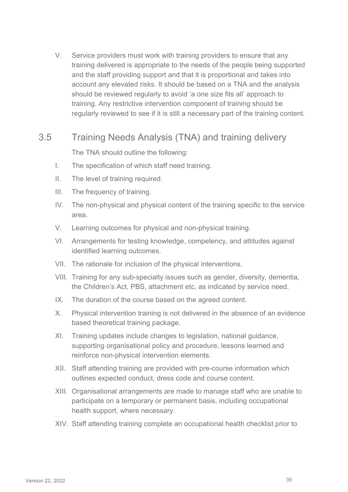V. Service providers must work with training providers to ensure that any training delivered is appropriate to the needs of the people being supported and the staff providing support and that it is proportional and takes into account any elevated risks. It should be based on a TNA and the analysis should be reviewed regularly to avoid 'a one size fits all' approach to training. Any restrictive intervention component of training should be regularly reviewed to see if it is still a necessary part of the training content.

#### 3.5 Training Needs Analysis (TNA) and training delivery

The TNA should outline the following:

- I. The specification of which staff need training.
- II. The level of training required.
- III. The frequency of training.
- IV. The non-physical and physical content of the training specific to the service area.
- V. Learning outcomes for physical and non-physical training.
- VI. Arrangements for testing knowledge, competency, and attitudes against identified learning outcomes.
- VII. The rationale for inclusion of the physical interventions.
- VIII. Training for any sub-specialty issues such as gender, diversity, dementia, the Children's Act, PBS, attachment etc, as indicated by service need.
- IX. The duration of the course based on the agreed content.
- X. Physical intervention training is not delivered in the absence of an evidence based theoretical training package.
- XI. Training updates include changes to legislation, national guidance, supporting organisational policy and procedure, lessons learned and reinforce non-physical intervention elements.
- XII. Staff attending training are provided with pre-course information which outlines expected conduct, dress code and course content.
- XIII. Organisational arrangements are made to manage staff who are unable to participate on a temporary or permanent basis, including occupational health support, where necessary.
- XIV. Staff attending training complete an occupational health checklist prior to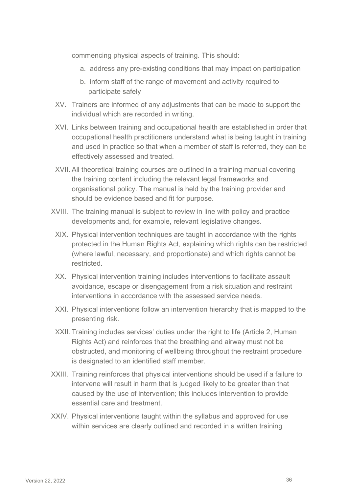commencing physical aspects of training. This should:

- a. address any pre-existing conditions that may impact on participation
- b. inform staff of the range of movement and activity required to participate safely
- XV. Trainers are informed of any adjustments that can be made to support the individual which are recorded in writing.
- XVI. Links between training and occupational health are established in order that occupational health practitioners understand what is being taught in training and used in practice so that when a member of staff is referred, they can be effectively assessed and treated.
- XVII. All theoretical training courses are outlined in a training manual covering the training content including the relevant legal frameworks and organisational policy. The manual is held by the training provider and should be evidence based and fit for purpose.
- XVIII. The training manual is subject to review in line with policy and practice developments and, for example, relevant legislative changes.
	- XIX. Physical intervention techniques are taught in accordance with the rights protected in the Human Rights Act, explaining which rights can be restricted (where lawful, necessary, and proportionate) and which rights cannot be restricted.
- XX. Physical intervention training includes interventions to facilitate assault avoidance, escape or disengagement from a risk situation and restraint interventions in accordance with the assessed service needs.
- XXI. Physical interventions follow an intervention hierarchy that is mapped to the presenting risk.
- XXII. Training includes services' duties under the right to life (Article 2, Human Rights Act) and reinforces that the breathing and airway must not be obstructed, and monitoring of wellbeing throughout the restraint procedure is designated to an identified staff member.
- XXIII. Training reinforces that physical interventions should be used if a failure to intervene will result in harm that is judged likely to be greater than that caused by the use of intervention; this includes intervention to provide essential care and treatment.
- XXIV. Physical interventions taught within the syllabus and approved for use within services are clearly outlined and recorded in a written training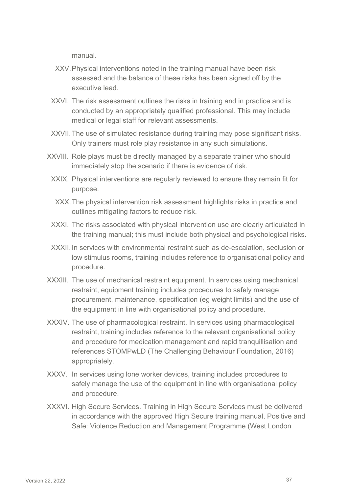manual.

- XXV.Physical interventions noted in the training manual have been risk assessed and the balance of these risks has been signed off by the executive lead.
- XXVI. The risk assessment outlines the risks in training and in practice and is conducted by an appropriately qualified professional. This may include medical or legal staff for relevant assessments.
- XXVII.The use of simulated resistance during training may pose significant risks. Only trainers must role play resistance in any such simulations.
- XXVIII. Role plays must be directly managed by a separate trainer who should immediately stop the scenario if there is evidence of risk.
	- XXIX. Physical interventions are regularly reviewed to ensure they remain fit for purpose.
	- XXX.The physical intervention risk assessment highlights risks in practice and outlines mitigating factors to reduce risk.
	- XXXI. The risks associated with physical intervention use are clearly articulated in the training manual; this must include both physical and psychological risks.
	- XXXII.In services with environmental restraint such as de-escalation, seclusion or low stimulus rooms, training includes reference to organisational policy and procedure.
- XXXIII. The use of mechanical restraint equipment. In services using mechanical restraint, equipment training includes procedures to safely manage procurement, maintenance, specification (eg weight limits) and the use of the equipment in line with organisational policy and procedure.
- XXXIV. The use of pharmacological restraint. In services using pharmacological restraint, training includes reference to the relevant organisational policy and procedure for medication management and rapid tranquillisation and references STOMPwLD (The Challenging Behaviour Foundation, 2016) appropriately.
- XXXV. In services using lone worker devices, training includes procedures to safely manage the use of the equipment in line with organisational policy and procedure.
- XXXVI. High Secure Services. Training in High Secure Services must be delivered in accordance with the approved High Secure training manual, Positive and Safe: Violence Reduction and Management Programme (West London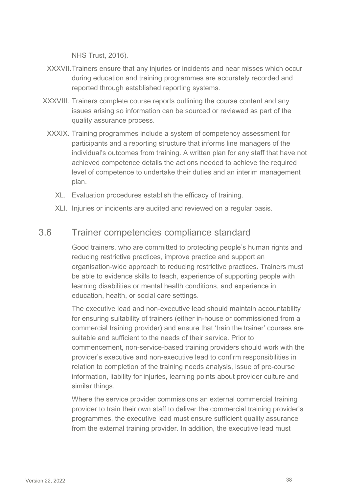NHS Trust, 2016).

- XXXVII.Trainers ensure that any injuries or incidents and near misses which occur during education and training programmes are accurately recorded and reported through established reporting systems.
- XXXVIII. Trainers complete course reports outlining the course content and any issues arising so information can be sourced or reviewed as part of the quality assurance process.
	- XXXIX. Training programmes include a system of competency assessment for participants and a reporting structure that informs line managers of the individual's outcomes from training. A written plan for any staff that have not achieved competence details the actions needed to achieve the required level of competence to undertake their duties and an interim management plan.
		- XL. Evaluation procedures establish the efficacy of training.
		- XLI. Injuries or incidents are audited and reviewed on a regular basis.

#### 3.6 Trainer competencies compliance standard

Good trainers, who are committed to protecting people's human rights and reducing restrictive practices, improve practice and support an organisation-wide approach to reducing restrictive practices. Trainers must be able to evidence skills to teach, experience of supporting people with learning disabilities or mental health conditions, and experience in education, health, or social care settings.

The executive lead and non-executive lead should maintain accountability for ensuring suitability of trainers (either in-house or commissioned from a commercial training provider) and ensure that 'train the trainer' courses are suitable and sufficient to the needs of their service. Prior to commencement, non-service-based training providers should work with the provider's executive and non-executive lead to confirm responsibilities in relation to completion of the training needs analysis, issue of pre-course information, liability for injuries, learning points about provider culture and similar things.

Where the service provider commissions an external commercial training provider to train their own staff to deliver the commercial training provider's programmes, the executive lead must ensure sufficient quality assurance from the external training provider. In addition, the executive lead must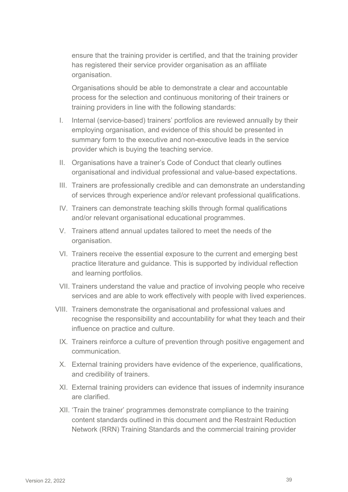ensure that the training provider is certified, and that the training provider has registered their service provider organisation as an affiliate organisation.

Organisations should be able to demonstrate a clear and accountable process for the selection and continuous monitoring of their trainers or training providers in line with the following standards:

- I. Internal (service-based) trainers' portfolios are reviewed annually by their employing organisation, and evidence of this should be presented in summary form to the executive and non-executive leads in the service provider which is buying the teaching service.
- II. Organisations have a trainer's Code of Conduct that clearly outlines organisational and individual professional and value-based expectations.
- III. Trainers are professionally credible and can demonstrate an understanding of services through experience and/or relevant professional qualifications.
- IV. Trainers can demonstrate teaching skills through formal qualifications and/or relevant organisational educational programmes.
- V. Trainers attend annual updates tailored to meet the needs of the organisation.
- VI. Trainers receive the essential exposure to the current and emerging best practice literature and guidance. This is supported by individual reflection and learning portfolios.
- VII. Trainers understand the value and practice of involving people who receive services and are able to work effectively with people with lived experiences.
- VIII. Trainers demonstrate the organisational and professional values and recognise the responsibility and accountability for what they teach and their influence on practice and culture.
	- IX. Trainers reinforce a culture of prevention through positive engagement and communication.
	- X. External training providers have evidence of the experience, qualifications, and credibility of trainers.
	- XI. External training providers can evidence that issues of indemnity insurance are clarified.
	- XII. 'Train the trainer' programmes demonstrate compliance to the training content standards outlined in this document and the Restraint Reduction Network (RRN) Training Standards and the commercial training provider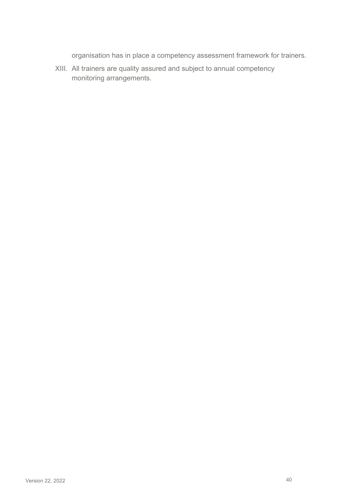organisation has in place a competency assessment framework for trainers.

XIII. All trainers are quality assured and subject to annual competency monitoring arrangements.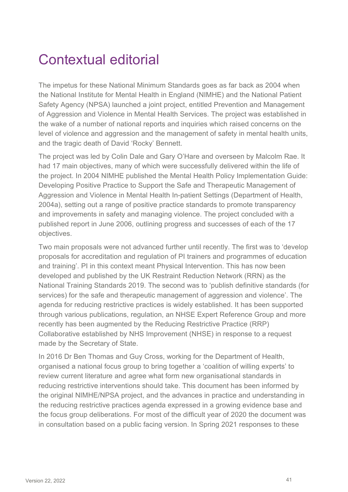## Contextual editorial

The impetus for these National Minimum Standards goes as far back as 2004 when the National Institute for Mental Health in England (NIMHE) and the National Patient Safety Agency (NPSA) launched a joint project, entitled Prevention and Management of Aggression and Violence in Mental Health Services. The project was established in the wake of a number of national reports and inquiries which raised concerns on the level of violence and aggression and the management of safety in mental health units, and the tragic death of David 'Rocky' Bennett.

The project was led by Colin Dale and Gary O'Hare and overseen by Malcolm Rae. It had 17 main objectives, many of which were successfully delivered within the life of the project. In 2004 NIMHE published the Mental Health Policy Implementation Guide: Developing Positive Practice to Support the Safe and Therapeutic Management of Aggression and Violence in Mental Health In-patient Settings (Department of Health, 2004a), setting out a range of positive practice standards to promote transparency and improvements in safety and managing violence. The project concluded with a published report in June 2006, outlining progress and successes of each of the 17 objectives.

Two main proposals were not advanced further until recently. The first was to 'develop proposals for accreditation and regulation of PI trainers and programmes of education and training'. PI in this context meant Physical Intervention. This has now been developed and published by the UK Restraint Reduction Network (RRN) as the National Training Standards 2019. The second was to 'publish definitive standards (for services) for the safe and therapeutic management of aggression and violence'. The agenda for reducing restrictive practices is widely established. It has been supported through various publications, regulation, an NHSE Expert Reference Group and more recently has been augmented by the Reducing Restrictive Practice (RRP) Collaborative established by NHS Improvement (NHSE) in response to a request made by the Secretary of State.

In 2016 Dr Ben Thomas and Guy Cross, working for the Department of Health, organised a national focus group to bring together a 'coalition of willing experts' to review current literature and agree what form new organisational standards in reducing restrictive interventions should take. This document has been informed by the original NIMHE/NPSA project, and the advances in practice and understanding in the reducing restrictive practices agenda expressed in a growing evidence base and the focus group deliberations. For most of the difficult year of 2020 the document was in consultation based on a public facing version. In Spring 2021 responses to these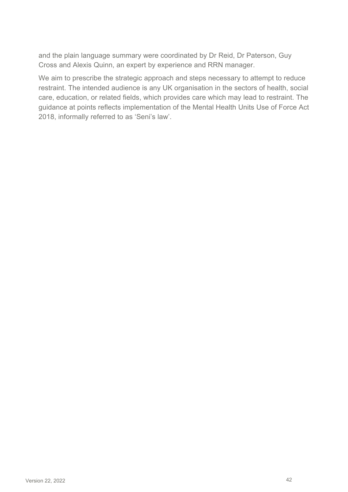and the plain language summary were coordinated by Dr Reid, Dr Paterson, Guy Cross and Alexis Quinn, an expert by experience and RRN manager.

We aim to prescribe the strategic approach and steps necessary to attempt to reduce restraint. The intended audience is any UK organisation in the sectors of health, social care, education, or related fields, which provides care which may lead to restraint. The guidance at points reflects implementation of the Mental Health Units Use of Force Act 2018, informally referred to as 'Seni's law'.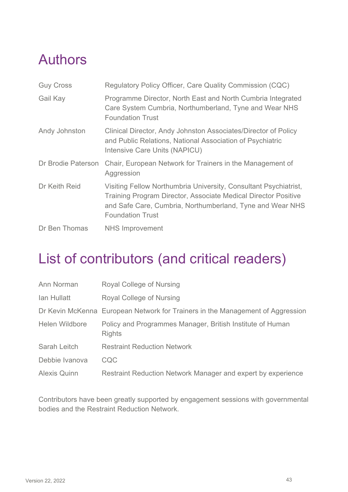## Authors

| <b>Guy Cross</b>   | Regulatory Policy Officer, Care Quality Commission (CQC)                                                                                                                                                                          |
|--------------------|-----------------------------------------------------------------------------------------------------------------------------------------------------------------------------------------------------------------------------------|
| Gail Kay           | Programme Director, North East and North Cumbria Integrated<br>Care System Cumbria, Northumberland, Tyne and Wear NHS<br><b>Foundation Trust</b>                                                                                  |
| Andy Johnston      | Clinical Director, Andy Johnston Associates/Director of Policy<br>and Public Relations, National Association of Psychiatric<br>Intensive Care Units (NAPICU)                                                                      |
| Dr Brodie Paterson | Chair, European Network for Trainers in the Management of<br>Aggression                                                                                                                                                           |
| Dr Keith Reid      | Visiting Fellow Northumbria University, Consultant Psychiatrist,<br><b>Training Program Director, Associate Medical Director Positive</b><br>and Safe Care, Cumbria, Northumberland, Tyne and Wear NHS<br><b>Foundation Trust</b> |
| Dr Ben Thomas      | <b>NHS Improvement</b>                                                                                                                                                                                                            |

## List of contributors (and critical readers)

| Ann Norman          | Royal College of Nursing                                                       |
|---------------------|--------------------------------------------------------------------------------|
| lan Hullatt         | Royal College of Nursing                                                       |
|                     | Dr Kevin McKenna European Network for Trainers in the Management of Aggression |
| Helen Wildbore      | Policy and Programmes Manager, British Institute of Human<br><b>Rights</b>     |
| Sarah Leitch        | <b>Restraint Reduction Network</b>                                             |
| Debbie Ivanova      | <b>CQC</b>                                                                     |
| <b>Alexis Quinn</b> | Restraint Reduction Network Manager and expert by experience                   |

Contributors have been greatly supported by engagement sessions with governmental bodies and the Restraint Reduction Network.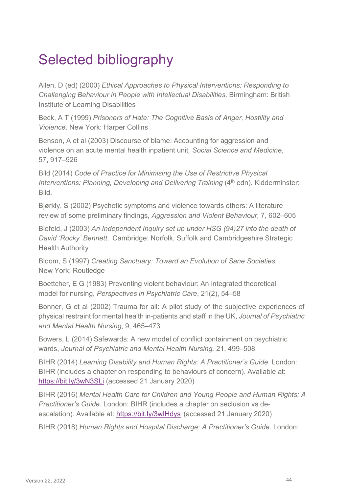## Selected bibliography

Allen, D (ed) (2000) *Ethical Approaches to Physical Interventions: Responding to Challenging Behaviour in People with Intellectual Disabilities*. Birmingham: British Institute of Learning Disabilities

Beck, A T (1999) *Prisoners of Hate: The Cognitive Basis of Anger, Hostility and Violence*. New York: Harper Collins

Benson, A et al (2003) Discourse of blame: Accounting for aggression and violence on an acute mental health inpatient unit*, Social Science and Medicine*, 57, 917–926

Bild (2014) *Code of Practice for Minimising the Use of Restrictive Physical Interventions: Planning, Developing and Delivering Training (4<sup>th</sup> edn). Kidderminster:* **Bild** 

Bjørkly, S (2002) Psychotic symptoms and violence towards others: A literature review of some preliminary findings, *Aggression and Violent Behaviour*, 7, 602–605

Blofeld, J (2003) *An Independent Inquiry set up under HSG (94)27 into the death of David 'Rocky' Bennett.* Cambridge: Norfolk, Suffolk and Cambridgeshire Strategic Health Authority

Bloom, S (1997) *Creating Sanctuary: Toward an Evolution of Sane Societies.*  New York: Routledge

Boettcher, E G (1983) Preventing violent behaviour: An integrated theoretical model for nursing, *Perspectives in Psychiatric Care*, 21(2), 54–58

Bonner, G et al (2002) Trauma for all: A pilot study of the subjective experiences of physical restraint for mental health in-patients and staff in the UK, *Journal of Psychiatric and Mental Health Nursing*, 9, 465–473

Bowers, L (2014) Safewards: A new model of conflict containment on psychiatric wards, *Journal of Psychiatric and Mental Health Nursing,* 21, 499–508

BIHR (2014) *Learning Disability and Human Rights: A Practitioner's Guide*. London: BIHR (includes a chapter on responding to behaviours of concern). Available at: <https://bit.ly/3wN3SLi> (accessed 21 January 2020)

BIHR (2016) *Mental Health Care for Children and Young People and Human Rights: A Practitioner's Guide*. London: BIHR (includes a chapter on seclusion vs deescalation). Available at: https://bit.ly/3wlHdys (accessed 21 January 2020)

BIHR (2018) *Human Rights and Hospital Discharge: A Practitioner's Guide*. London: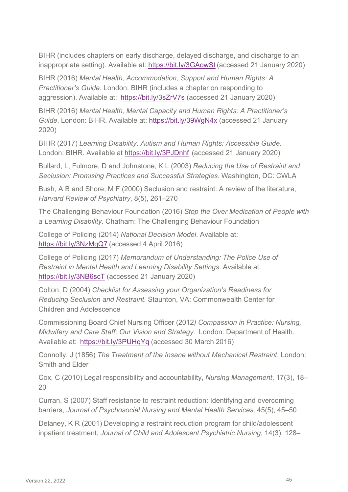BIHR (includes chapters on early discharge, delayed discharge, and discharge to an inappropriate setting). Available at:<https://bit.ly/3GAowSt> (accessed 21 January 2020)

BIHR (2016) *Mental Health, Accommodation, Support and Human Rights: A Practitioner's Guide*. London: BIHR (includes a chapter on responding to aggression). Available at: [https://bit.ly/3sZrV7s](https://www.bihr.org.uk/shop/mental-health-accommodation-support-and-human-rights) [\(](https://www.bihr.org.uk/shop/mental-health-accommodation-support-and-human-rights)accessed 21 January 2020)

BIHR (2016) *Mental Health, Mental Capacity and Human Rights: A Practitioner's Guide*. London: BIHR. Available at:<https://bit.ly/39WgN4x> (accessed 21 January 2020)

BIHR (2017) *Learning Disability, Autism and Human Rights: Accessible Guide*. London: BIHR. Available at <https://bit.ly/3PJDnhf> (accessed 21 January 2020)

Bullard, L, Fulmore, D and Johnstone, K L (2003) *Reducing the Use of Restraint and Seclusion: Promising Practices and Successful Strategies*. Washington, DC: CWLA

Bush, A B and Shore, M F (2000) Seclusion and restraint: A review of the literature, *Harvard Review of Psychiatry*, 8(5), 261–270

The Challenging Behaviour Foundation (2016) *Stop the Over Medication of People with a Learning Disability*. Chatham: The Challenging Behaviour Foundation

College of Policing (2014) *National Decision Model*. Available at: <https://bit.ly/3NzMqQ7> (accessed 4 April 2016)

College of Policing (2017) *Memorandum of Understanding: The Police Use of Restraint in Mental Health and Learning Disability Settings*. Available at: <https://bit.ly/3NB6scT> (accessed 21 January 2020)

Colton, D (2004) *Checklist for Assessing your Organization's Readiness for Reducing Seclusion and Restraint.* Staunton, VA: Commonwealth Center for Children and Adolescence

Commissioning Board Chief Nursing Officer (2012*) Compassion in Practice: Nursing, Midwifery and Care Staff: Our Vision and Strategy.* London: Department of Health. Available at: [https://bit.ly/3PUHqYq](https://www.england.nhs.uk/nursingvision/) [\(](https://www.england.nhs.uk/nursingvision/)accessed 30 March 2016)

Connolly, J (1856) *The Treatment of the Insane without Mechanical Restraint*. London: Smith and Elder

Cox, C (2010) Legal responsibility and accountability, *Nursing Management*, 17(3), 18– 20

Curran, S (2007) Staff resistance to restraint reduction: Identifying and overcoming barriers, *Journal of Psychosocial Nursing and Mental Health Services,* 45(5), 45–50

Delaney, K R (2001) Developing a restraint reduction program for child/adolescent inpatient treatment, *Journal of Child and Adolescent Psychiatric Nursing*, 14(3), 128–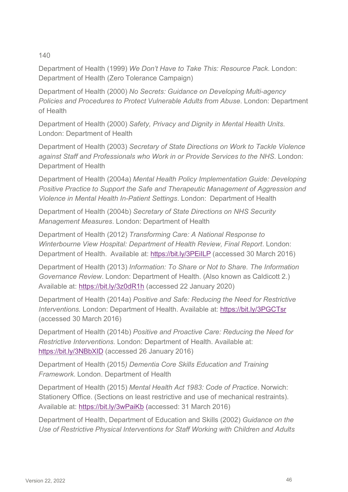#### 140

Department of Health (1999) *We Don't Have to Take This: Resource Pack*. London: Department of Health (Zero Tolerance Campaign)

Department of Health (2000) *No Secrets: Guidance on Developing Multi-agency Policies and Procedures to Protect Vulnerable Adults from Abuse*. London: Department of Health

Department of Health (2000) *Safety, Privacy and Dignity in Mental Health Units*. London: Department of Health

Department of Health (2003) *Secretary of State Directions on Work to Tackle Violence against Staff and Professionals who Work in or Provide Services to the NHS*. London: Department of Health

Department of Health (2004a) *Mental Health Policy Implementation Guide: Developing Positive Practice to Support the Safe and Therapeutic Management of Aggression and Violence in Mental Health In-Patient Settings*. London: Department of Health

Department of Health (2004b) *Secretary of State Directions on NHS Security Management Measures*. London: Department of Health

Department of Health (2012) *Transforming Care: A National Response to Winterbourne View Hospital: Department of Health Review, Final Report*. London: Department of Health. Available at: https://bit.ly/3PEilLP (accessed 30 March 2016)

Department of Health (2013) *Information: To Share or Not to Share. The Information Governance Review*. London: Department of Health. (Also known as Caldicott 2.) Available at:<https://bit.ly/3z0dR1h>(accessed 22 January 2020)

Department of Health (2014a) *Positive and Safe: Reducing the Need for Restrictive Interventions.* London: Department of Health. Available at:<https://bit.ly/3PGCTsr> (accessed 30 March 2016)

Department of Health (2014b) *Positive and Proactive Care: Reducing the Need for Restrictive Interventions.* London: Department of Health. Available at: <https://bit.ly/3NBbXID>(accessed 26 January 2016)

Department of Health (2015*) Dementia Core Skills Education and Training Framework*. London. Department of Health

Department of Health (2015) *Mental Health Act 1983: Code of Practice*. Norwich: Stationery Office. (Sections on least restrictive and use of mechanical restraints). Available at:<https://bit.ly/3wPaiKb>(accessed: 31 March 2016)

Department of Health, Department of Education and Skills (2002) *Guidance on the Use of Restrictive Physical Interventions for Staff Working with Children and Adults*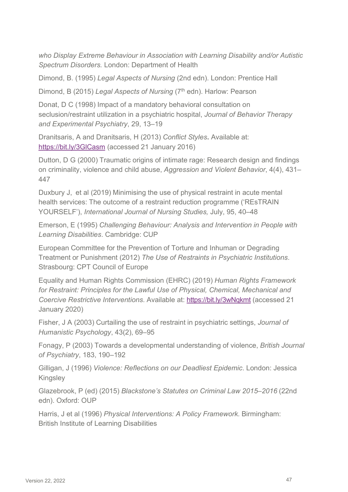*who Display Extreme Behaviour in Association with Learning Disability and/or Autistic Spectrum Disorders.* London: Department of Health

Dimond, B. (1995) *Legal Aspects of Nursing* (2nd edn). London: Prentice Hall

Dimond, B (2015) *Legal Aspects of Nursing* (7<sup>th</sup> edn). Harlow: Pearson

Donat, D C (1998) Impact of a mandatory behavioral consultation on seclusion/restraint utilization in a psychiatric hospital, *Journal of Behavior Therapy and Experimental Psychiatry*, 29, 13–19

Dranitsaris, A and Dranitsaris, H (2013) *Conflict Styles***.** Available at: <https://bit.ly/3GlCasm> (accessed 21 January 2016)

Dutton, D G (2000) Traumatic origins of intimate rage: Research design and findings on criminality, violence and child abuse, *Aggression and Violent Behavior*, 4(4), 431– 447

Duxbury J, et al (2019) Minimising the use of physical restraint in acute mental health services: The outcome of a restraint reduction programme ('REsTRAIN YOURSELF'), *International Journal of Nursing Studies,* July, 95, 40–48

Emerson, E (1995) *Challenging Behaviour: Analysis and Intervention in People with Learning Disabilities*. Cambridge: CUP

European Committee for the Prevention of Torture and Inhuman or Degrading Treatment or Punishment (2012) *The Use of Restraints in Psychiatric Institutions*. Strasbourg: CPT Council of Europe

Equality and Human Rights Commission (EHRC) (2019) *Human Rights Framework for Restraint: Principles for the Lawful Use of Physical, Chemical, Mechanical and Coercive Restrictive Interventions*. Available at:<https://bit.ly/3wNqkmt> (accessed 21 January 2020)

Fisher, J A (2003) Curtailing the use of restraint in psychiatric settings, *Journal of Humanistic Psychology*, 43(2), 69–95

Fonagy, P (2003) Towards a developmental understanding of violence, *British Journal of Psychiatry*, 183, 190–192

Gilligan, J (1996) *Violence: Reflections on our Deadliest Epidemic*. London: Jessica **Kingsley** 

Glazebrook, P (ed) (2015) *Blackstone's Statutes on Criminal Law 2015–2016* (22nd edn). Oxford: OUP

Harris, J et al (1996) *Physical Interventions: A Policy Framework.* Birmingham: British Institute of Learning Disabilities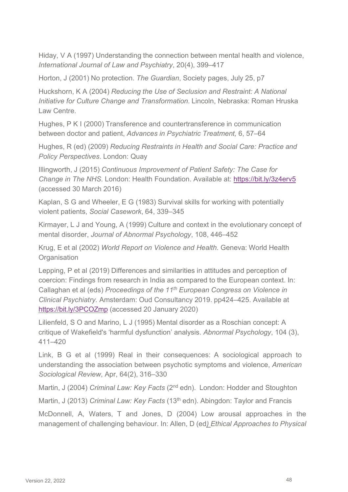Hiday, V A (1997) Understanding the connection between mental health and violence, *International Journal of Law and Psychiatry*, 20(4), 399–417

Horton, J (2001) No protection. *The Guardian*, Society pages, July 25, p7

Huckshorn, K A (2004) *Reducing the Use of Seclusion and Restraint: A National Initiative for Culture Change and Transformation*. Lincoln, Nebraska: Roman Hruska Law Centre.

Hughes, P K I (2000) Transference and countertransference in communication between doctor and patient, *Advances in Psychiatric Treatment,* 6, 57–64

Hughes, R (ed) (2009) *Reducing Restraints in Health and Social Care: Practice and Policy Perspectives*. London: Quay

Illingworth, J (2015) *Continuous Improvement of Patient Safety: The Case for Change in The NHS*. London: Health Foundation. Available at:<https://bit.ly/3z4erv5> (accessed 30 March 2016)

Kaplan, S G and Wheeler, E G (1983) Survival skills for working with potentially violent patients, *Social Casework*, 64, 339–345

Kirmayer, L J and Young, A (1999) Culture and context in the evolutionary concept of mental disorder, *Journal of Abnormal Psychology*, 108, 446–452

Krug, E et al (2002) *World Report on Violence and Health*. Geneva: World Health **Organisation** 

Lepping, P et al (2019) Differences and similarities in attitudes and perception of coercion: Findings from research in India as compared to the European context. In: Callaghan et al (eds) *Proceedings of the 11th European Congress on Violence in Clinical Psychiatry.* Amsterdam: Oud Consultancy 2019. pp424–425. Available at <https://bit.ly/3PCOZmp> (accessed 20 January 2020)

Lilienfeld, S O and Marino, L J (1995) Mental disorder as a Roschian concept: A critique of Wakefield's 'harmful dysfunction' analysis. *Abnormal Psychology*, 104 (3), 411–420

Link, B G et al (1999) Real in their consequences: A sociological approach to understanding the association between psychotic symptoms and violence, *American Sociological Review*, Apr, 64(2), 316–330

Martin, J (2004) *Criminal Law: Key Facts* (2nd edn). London: Hodder and Stoughton

Martin, J (2013) *Criminal Law: Key Facts* (13<sup>th</sup> edn). Abingdon: Taylor and Francis

McDonnell, A, Waters, T and Jones, D (2004) Low arousal approaches in the management of challenging behaviour. In: Allen, D (ed*) Ethical Approaches to Physical*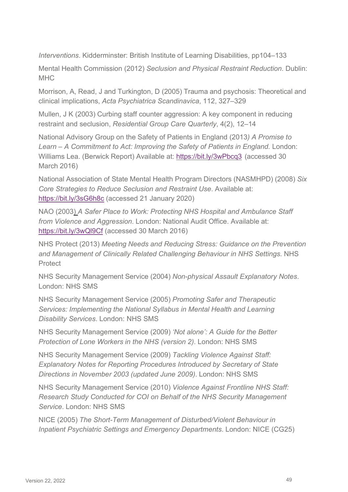*Interventions*. Kidderminster: British Institute of Learning Disabilities, pp104–133

Mental Health Commission (2012) *Seclusion and Physical Restraint Reduction*. Dublin: **MHC** 

Morrison, A, Read, J and Turkington, D (2005) Trauma and psychosis: Theoretical and clinical implications, *Acta Psychiatrica Scandinavica*, 112, 327–329

Mullen, J K (2003) Curbing staff counter aggression: A key component in reducing restraint and seclusion, *Residential Group Care Quarterly*, 4(2), 12–14

National Advisory Group on the Safety of Patients in England (2013*) A Promise to*  Learn – A Commitment to Act: Improving the Safety of Patients in England. London: Williams Lea. (Berwick Report) Available at:<https://bit.ly/3wPbcq3>(accessed 30 March 2016)

National Association of State Mental Health Program Directors (NASMHPD) (2008) *Six Core Strategies to Reduce Seclusion and Restraint Use*. Available at: <https://bit.ly/3sG6h8c> (accessed 21 January 2020)

NAO (2003) *A Safer Place to Work: Protecting NHS Hospital and Ambulance Staff from Violence and Aggression*. London: National Audit Office. Available at: <https://bit.ly/3wQl9Cf> (accessed 30 March 2016)

NHS Protect (2013) *Meeting Needs and Reducing Stress: Guidance on the Prevention and Management of Clinically Related Challenging Behaviour in NHS Settings*. NHS **Protect** 

NHS Security Management Service (2004) *Non-physical Assault Explanatory Notes*. London: NHS SMS

NHS Security Management Service (2005) *Promoting Safer and Therapeutic Services: Implementing the National Syllabus in Mental Health and Learning Disability Services*. London: NHS SMS

NHS Security Management Service (2009) *'Not alone': A Guide for the Better Protection of Lone Workers in the NHS (version 2)*. London: NHS SMS

NHS Security Management Service (2009) *Tackling Violence Against Staff: Explanatory Notes for Reporting Procedures Introduced by Secretary of State Directions in November 2003 (updated June 2009)*. London: NHS SMS

NHS Security Management Service (2010) *Violence Against Frontline NHS Staff: Research Study Conducted for COI on Behalf of the NHS Security Management Service*. London: NHS SMS

NICE (2005) *The Short-Term Management of Disturbed/Violent Behaviour in Inpatient Psychiatric Settings and Emergency Departments*. London: NICE (CG25)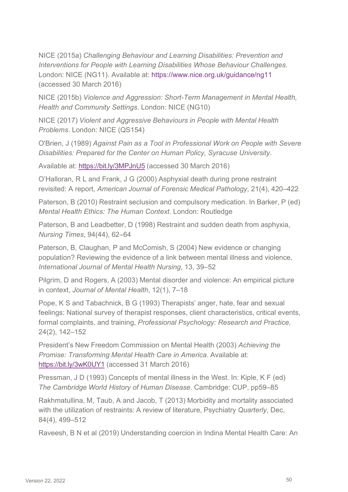NICE (2015a) *Challenging Behaviour and Learning Disabilities: Prevention and Interventions for People with Learning Disabilities Whose Behaviour Challenges*. London: NICE (NG11). Available at:<https://www.nice.org.uk/guidance/ng11> (accessed 30 March 2016)

NICE (2015b) *Violence and Aggression: Short-Term Management in Mental Health, Health and Community Settings*. London: NICE (NG10)

NICE (2017) *Violent and Aggressive Behaviours in People with Mental Health Problems*. London: NICE (QS154)

O'Brien, J (1989) *Against Pain as a Tool in Professional Work on People with Severe Disabilities: Prepared for the Center on Human Policy, Syracuse University*.

Available at:<https://bit.ly/3MPJnU5>(accessed 30 March 2016)

O'Halloran, R L and Frank, J G (2000) Asphyxial death during prone restraint revisited: A report, *American Journal of Forensic Medical Pathology*, 21(4), 420–422

Paterson, B (2010) Restraint seclusion and compulsory medication. In Barker, P (ed) *Mental Health Ethics: The Human Context*. London: Routledge

Paterson, B and Leadbetter, D (1998) Restraint and sudden death from asphyxia, *Nursing Times*, 94(44), 62–64

Paterson, B, Claughan, P and McComish, S (2004) New evidence or changing population? Reviewing the evidence of a link between mental illness and violence, *International Journal of Mental Health Nursing*, 13, 39–52

Pilgrim, D and Rogers, A (2003) Mental disorder and violence: An empirical picture in context, *Journal of Mental Health*, 12(1), 7–18

Pope, K S and Tabachnick, B G (1993) Therapists' anger, hate, fear and sexual feelings: National survey of therapist responses, client characteristics, critical events, formal complaints, and training, *Professional Psychology: Research and Practice,*  24(2), 142–152

President's New Freedom Commission on Mental Health (2003) *Achieving the Promise: Transforming Mental Health Care in America*. Available at: <https://bit.ly/3wK0UY1> (accessed 31 March 2016)

Pressman, J D (1993) Concepts of mental illness in the West. In: Kiple, K F (ed) *The Cambridge World History of Human Disease*. Cambridge: CUP, pp59–85

Rakhmatullina, M, Taub, A and Jacob, T (2013) Morbidity and mortality associated with the utilization of restraints: A review of literature, Psychiatry *Quarterly*, Dec, 84(4), 499–512

Raveesh, B N et al (2019) Understanding coercion in Indina Mental Health Care: An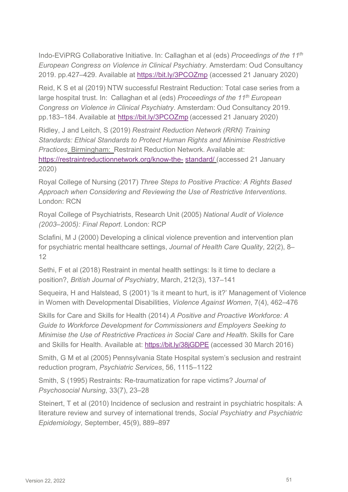Indo-EViPRG Collaborative Initiative. In: Callaghan et al (eds) *Proceedings of the 11th European Congress on Violence in Clinical Psychiatry*. Amsterdam: Oud Consultancy 2019. pp.427–429. Available at<https://bit.ly/3PCOZmp>(accessed 21 January 2020)

Reid, K S et al (2019) NTW successful Restraint Reduction: Total case series from a large hospital trust. In: Callaghan et al (eds) *Proceedings of the 11th European Congress on Violence in Clinical Psychiatry*. Amsterdam: Oud Consultancy 2019. pp.183–184. Available at<https://bit.ly/3PCOZmp> (accessed 21 January 2020)

Ridley, J and Leitch, S (2019) *Restraint Reduction Network (RRN) Training Standards: Ethical Standards to Protect Human Rights and Minimise Restrictive Practices*. Birmingham: Restraint Reduction Network. Available at: [https://restraintreductionnetwork.org/know-the- standard/](https://restraintreductionnetwork.org/know-the-standard/) (accessed 21 January 2020)

Royal College of Nursing (2017) *Three Steps to Positive Practice: A Rights Based Approach when Considering and Reviewing the Use of Restrictive Interventions*. London: RCN

Royal College of Psychiatrists, Research Unit (2005) *National Audit of Violence (2003–2005): Final Report*. London: RCP

Sclafini, M J (2000) Developing a clinical violence prevention and intervention plan for psychiatric mental healthcare settings, *Journal of Health Care Quality*, 22(2), 8– 12

Sethi, F et al (2018) Restraint in mental health settings: Is it time to declare a position?, *British Journal of Psychiatry*, March, 212(3), 137–141

Sequeira, H and Halstead, S (2001) 'Is it meant to hurt, is it?' Management of Violence in Women with Developmental Disabilities, *Violence Against Women*, 7(4), 462–476

Skills for Care and Skills for Health (2014) *A Positive and Proactive Workforce: A Guide to Workforce Development for Commissioners and Employers Seeking to Minimise the Use of Restrictive Practices in Social Care and Health*. Skills for Care and Skills for Health. Available at:<https://bit.ly/38jGDPE>(accessed 30 March 2016)

Smith, G M et al (2005) Pennsylvania State Hospital system's seclusion and restraint reduction program, *Psychiatric Services*, 56, 1115–1122

Smith, S (1995) Restraints: Re-traumatization for rape victims? *Journal of Psychosocial Nursing*, 33(7), 23–28

Steinert, T et al (2010) Incidence of seclusion and restraint in psychiatric hospitals: A literature review and survey of international trends, *Social Psychiatry and Psychiatric Epidemiology*, September, 45(9), 889–897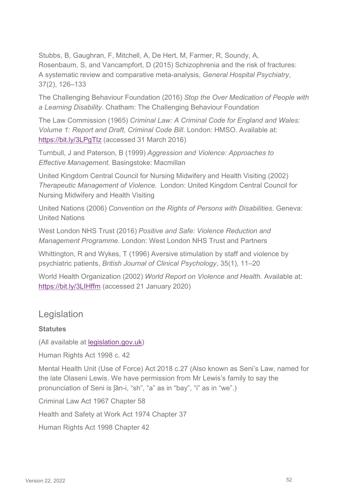Stubbs, B, Gaughran, F, Mitchell, A, De Hert, M, Farmer, R, Soundy, A, Rosenbaum, S, and Vancampfort, D (2015) Schizophrenia and the risk of fractures: A systematic review and comparative meta-analysis, *General Hospital Psychiatry*, 37(2), 126–133

The Challenging Behaviour Foundation (2016) *Stop the Over Medication of People with a Learning Disability*. Chatham: The Challenging Behaviour Foundation

The Law Commission (1965) *Criminal Law: A Criminal Code for England and Wales: Volume 1: Report and Draft, Criminal Code Bill*. London: HMSO. Available at: <https://bit.ly/3LPgTIz> (accessed 31 March 2016)

Turnbull, J and Paterson, B (1999) *Aggression and Violence: Approaches to Effective Management.* Basingstoke: Macmillan

United Kingdom Central Council for Nursing Midwifery and Health Visiting (2002) *Therapeutic Management of Violence*. London: United Kingdom Central Council for Nursing Midwifery and Health Visiting

United Nations (2006) *Convention on the Rights of Persons with Disabilities*. Geneva: United Nations

West London NHS Trust (2016) *Positive and Safe: Violence Reduction and Management Programme.* London: West London NHS Trust and Partners

Whittington, R and Wykes, T (1996) Aversive stimulation by staff and violence by psychiatric patients, *British Journal of Clinical Psychology*, 35(1), 11–20

World Health Organization (2002) *World Report on Violence and Health.* Available at: <https://bit.ly/3LIHffm> (accessed 21 January 2020)

#### Legislation

#### **Statutes**

(All available at legislation.gov.uk)

Human Rights Act 1998 c. 42

Mental Health Unit (Use of Force) Act 2018 c.27 (Also known as Seni's Law, named for the late Olaseni Lewis. We have permission from Mr Lewis's family to say the pronunciation of Seni is ʃān-i, "sh", "a" as in "bay", "i" as in "we".)

Criminal Law Act 1967 Chapter 58

Health and Safety at Work Act 1974 Chapter 37

Human Rights Act 1998 Chapter 42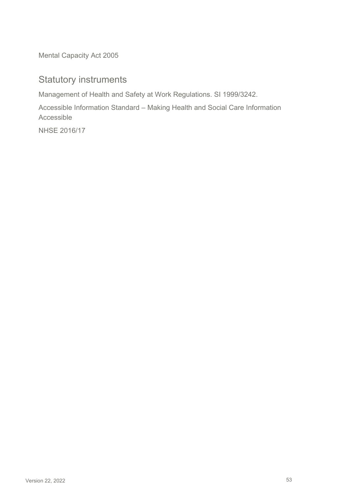Mental Capacity Act 2005

### Statutory instruments

Management of Health and Safety at Work Regulations. SI 1999/3242.

Accessible Information Standard – Making Health and Social Care Information Accessible

NHSE 2016/17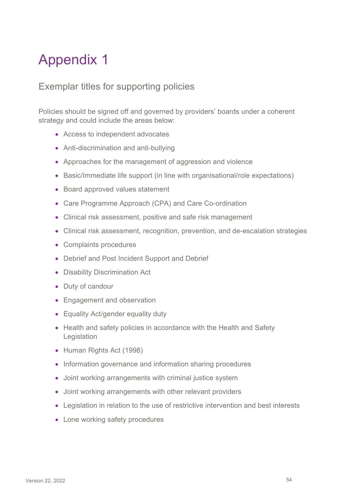## Appendix 1

### Exemplar titles for supporting policies

Policies should be signed off and governed by providers' boards under a coherent strategy and could include the areas below:

- Access to independent advocates
- Anti-discrimination and anti-bullying
- Approaches for the management of aggression and violence
- Basic/Immediate life support (in line with organisational/role expectations)
- Board approved values statement
- Care Programme Approach (CPA) and Care Co-ordination
- Clinical risk assessment, positive and safe risk management
- Clinical risk assessment, recognition, prevention, and de-escalation strategies
- Complaints procedures
- Debrief and Post Incident Support and Debrief
- Disability Discrimination Act
- Duty of candour
- Engagement and observation
- Equality Act/gender equality duty
- Health and safety policies in accordance with the Health and Safety Legislation
- Human Rights Act (1998)
- Information governance and information sharing procedures
- Joint working arrangements with criminal justice system
- Joint working arrangements with other relevant providers
- Legislation in relation to the use of restrictive intervention and best interests
- Lone working safety procedures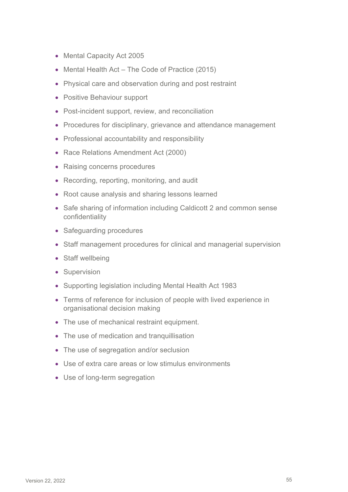- Mental Capacity Act 2005
- Mental Health Act The Code of Practice (2015)
- Physical care and observation during and post restraint
- Positive Behaviour support
- Post-incident support, review, and reconciliation
- Procedures for disciplinary, grievance and attendance management
- Professional accountability and responsibility
- Race Relations Amendment Act (2000)
- Raising concerns procedures
- Recording, reporting, monitoring, and audit
- Root cause analysis and sharing lessons learned
- Safe sharing of information including Caldicott 2 and common sense confidentiality
- Safeguarding procedures
- Staff management procedures for clinical and managerial supervision
- Staff wellbeing
- Supervision
- Supporting legislation including Mental Health Act 1983
- Terms of reference for inclusion of people with lived experience in organisational decision making
- The use of mechanical restraint equipment.
- The use of medication and tranquillisation
- The use of segregation and/or seclusion
- Use of extra care areas or low stimulus environments
- Use of long-term segregation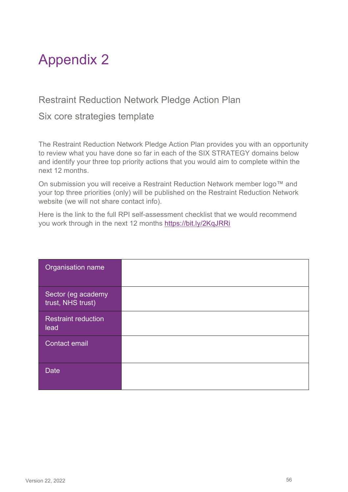## Appendix 2

### Restraint Reduction Network Pledge Action Plan

#### Six core strategies template

The Restraint Reduction Network Pledge Action Plan provides you with an opportunity to review what you have done so far in each of the SIX STRATEGY domains below and identify your three top priority actions that you would aim to complete within the next 12 months.

On submission you will receive a Restraint Reduction Network member logo™ and your top three priorities (only) will be published on the Restraint Reduction Network website (we will not share contact info).

Here is the link to the full RPI self-assessment checklist that we would recommend you work through in the next 12 months<https://bit.ly/2KqJRRi>

| Organisation name                       |  |
|-----------------------------------------|--|
| Sector (eg academy<br>trust, NHS trust) |  |
| <b>Restraint reduction</b><br>lead      |  |
| <b>Contact email</b>                    |  |
| <b>Date</b>                             |  |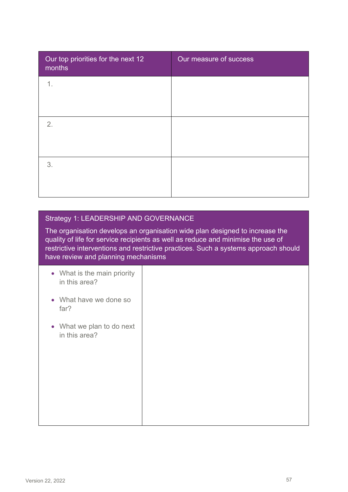| Our top priorities for the next 12<br>months | Our measure of success |
|----------------------------------------------|------------------------|
| 1.                                           |                        |
|                                              |                        |
| 2.                                           |                        |
|                                              |                        |
| 3.                                           |                        |
|                                              |                        |

#### Strategy 1: LEADERSHIP AND GOVERNANCE

The organisation develops an organisation wide plan designed to increase the quality of life for service recipients as well as reduce and minimise the use of restrictive interventions and restrictive practices. Such a systems approach should have review and planning mechanisms

- What is the main priority in this area?
- What have we done so far?
- What we plan to do next in this area?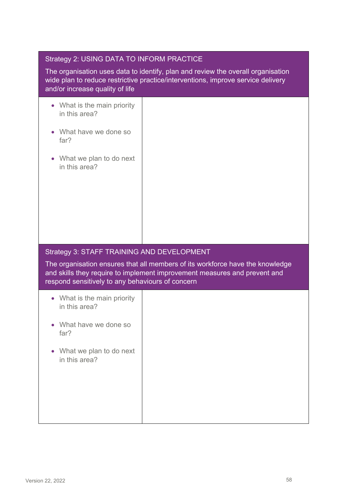|  | Strategy 2: USING DATA TO INFORM PRACTICE |
|--|-------------------------------------------|
|--|-------------------------------------------|

The organisation uses data to identify, plan and review the overall organisation wide plan to reduce restrictive practice/interventions, improve service delivery and/or increase quality of life

- What is the main priority in this area?
- What have we done so far?
- What we plan to do next in this area?

#### Strategy 3: STAFF TRAINING AND DEVELOPMENT

The organisation ensures that all members of its workforce have the knowledge and skills they require to implement improvement measures and prevent and respond sensitively to any behaviours of concern

| • What is the main priority<br>in this area? |  |
|----------------------------------------------|--|
| • What have we done so<br>far?               |  |
| • What we plan to do next<br>in this area?   |  |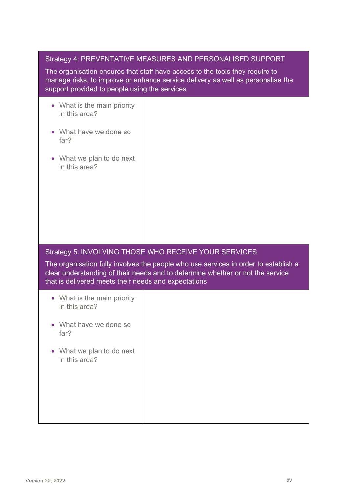| Strategy 4: PREVENTATIVE MEASURES AND PERSONALISED SUPPORT |  |
|------------------------------------------------------------|--|
|------------------------------------------------------------|--|

The organisation ensures that staff have access to the tools they require to manage risks, to improve or enhance service delivery as well as personalise the support provided to people using the services

- What is the main priority in this area?
- What have we done so far?
- What we plan to do next in this area?

#### Strategy 5: INVOLVING THOSE WHO RECEIVE YOUR SERVICES

The organisation fully involves the people who use services in order to establish a clear understanding of their needs and to determine whether or not the service that is delivered meets their needs and expectations

| • What is the main priority<br>in this area? |  |
|----------------------------------------------|--|
| • What have we done so<br>far?               |  |
| • What we plan to do next<br>in this area?   |  |